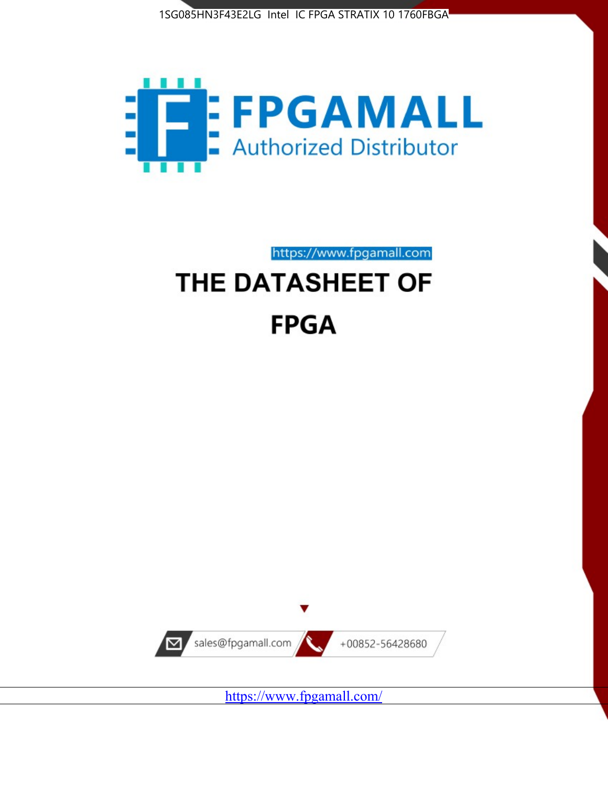



https://www.fpgamall.com

# THE DATASHEET OF **FPGA**



<https://www.fpgamall.com/>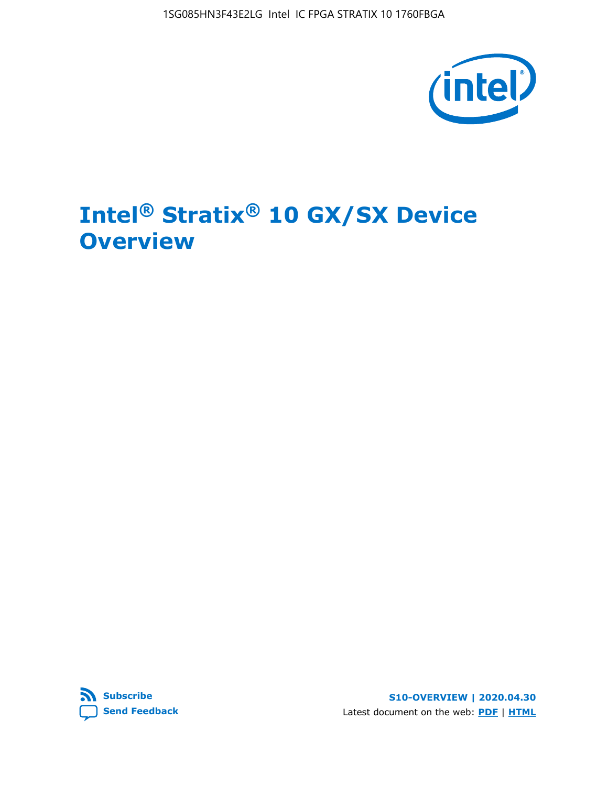

# **Intel® Stratix® 10 GX/SX Device Overview**



**S10-OVERVIEW | 2020.04.30** Latest document on the web: **[PDF](https://www.intel.com/content/dam/www/programmable/us/en/pdfs/literature/hb/stratix-10/s10-overview.pdf)** | **[HTML](https://www.intel.com/content/www/us/en/programmable/documentation/joc1442261161666.html)**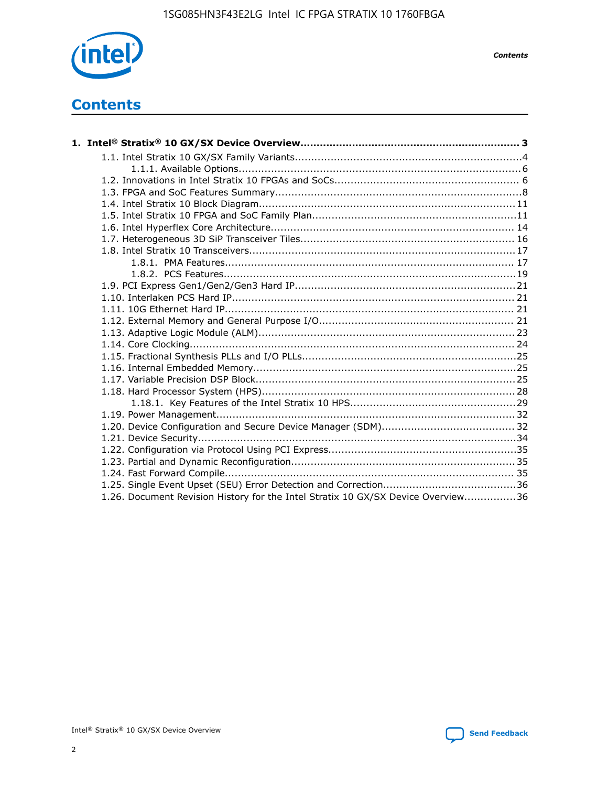

*Contents*

# **Contents**

| 1.26. Document Revision History for the Intel Stratix 10 GX/SX Device Overview36 |  |
|----------------------------------------------------------------------------------|--|

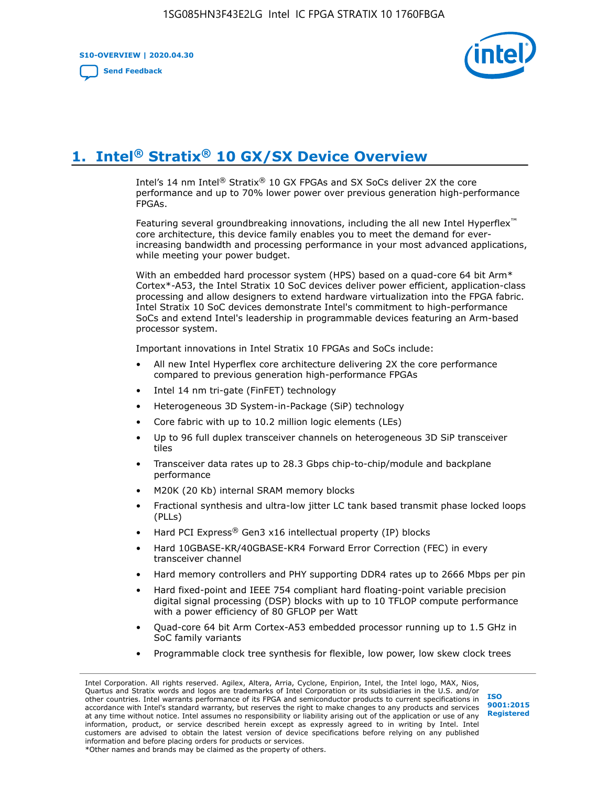**S10-OVERVIEW | 2020.04.30**

**[Send Feedback](mailto:FPGAtechdocfeedback@intel.com?subject=Feedback%20on%20Intel%20Stratix%2010%20GX/SX%20Device%20Overview%20(S10-OVERVIEW%202020.04.30)&body=We%20appreciate%20your%20feedback.%20In%20your%20comments,%20also%20specify%20the%20page%20number%20or%20paragraph.%20Thank%20you.)**



# **1. Intel® Stratix® 10 GX/SX Device Overview**

Intel's 14 nm Intel® Stratix® 10 GX FPGAs and SX SoCs deliver 2X the core performance and up to 70% lower power over previous generation high-performance FPGAs.

Featuring several groundbreaking innovations, including the all new Intel Hyperflex™ core architecture, this device family enables you to meet the demand for everincreasing bandwidth and processing performance in your most advanced applications, while meeting your power budget.

With an embedded hard processor system (HPS) based on a quad-core 64 bit Arm\* Cortex\*-A53, the Intel Stratix 10 SoC devices deliver power efficient, application-class processing and allow designers to extend hardware virtualization into the FPGA fabric. Intel Stratix 10 SoC devices demonstrate Intel's commitment to high-performance SoCs and extend Intel's leadership in programmable devices featuring an Arm-based processor system.

Important innovations in Intel Stratix 10 FPGAs and SoCs include:

- All new Intel Hyperflex core architecture delivering 2X the core performance compared to previous generation high-performance FPGAs
- Intel 14 nm tri-gate (FinFET) technology
- Heterogeneous 3D System-in-Package (SiP) technology
- Core fabric with up to 10.2 million logic elements (LEs)
- Up to 96 full duplex transceiver channels on heterogeneous 3D SiP transceiver tiles
- Transceiver data rates up to 28.3 Gbps chip-to-chip/module and backplane performance
- M20K (20 Kb) internal SRAM memory blocks
- Fractional synthesis and ultra-low jitter LC tank based transmit phase locked loops (PLLs)
- Hard PCI Express<sup>®</sup> Gen3 x16 intellectual property (IP) blocks
- Hard 10GBASE-KR/40GBASE-KR4 Forward Error Correction (FEC) in every transceiver channel
- Hard memory controllers and PHY supporting DDR4 rates up to 2666 Mbps per pin
- Hard fixed-point and IEEE 754 compliant hard floating-point variable precision digital signal processing (DSP) blocks with up to 10 TFLOP compute performance with a power efficiency of 80 GFLOP per Watt
- Quad-core 64 bit Arm Cortex-A53 embedded processor running up to 1.5 GHz in SoC family variants
- Programmable clock tree synthesis for flexible, low power, low skew clock trees

Intel Corporation. All rights reserved. Agilex, Altera, Arria, Cyclone, Enpirion, Intel, the Intel logo, MAX, Nios, Quartus and Stratix words and logos are trademarks of Intel Corporation or its subsidiaries in the U.S. and/or other countries. Intel warrants performance of its FPGA and semiconductor products to current specifications in accordance with Intel's standard warranty, but reserves the right to make changes to any products and services at any time without notice. Intel assumes no responsibility or liability arising out of the application or use of any information, product, or service described herein except as expressly agreed to in writing by Intel. Intel customers are advised to obtain the latest version of device specifications before relying on any published information and before placing orders for products or services. \*Other names and brands may be claimed as the property of others.

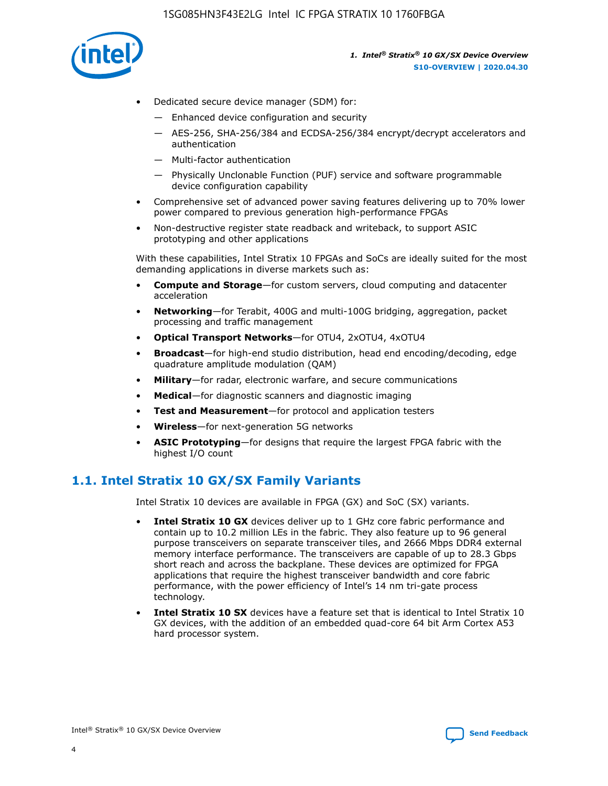

- Dedicated secure device manager (SDM) for:
	- Enhanced device configuration and security
	- AES-256, SHA-256/384 and ECDSA-256/384 encrypt/decrypt accelerators and authentication
	- Multi-factor authentication
	- Physically Unclonable Function (PUF) service and software programmable device configuration capability
- Comprehensive set of advanced power saving features delivering up to 70% lower power compared to previous generation high-performance FPGAs
- Non-destructive register state readback and writeback, to support ASIC prototyping and other applications

With these capabilities, Intel Stratix 10 FPGAs and SoCs are ideally suited for the most demanding applications in diverse markets such as:

- **Compute and Storage**—for custom servers, cloud computing and datacenter acceleration
- **Networking**—for Terabit, 400G and multi-100G bridging, aggregation, packet processing and traffic management
- **Optical Transport Networks**—for OTU4, 2xOTU4, 4xOTU4
- **Broadcast**—for high-end studio distribution, head end encoding/decoding, edge quadrature amplitude modulation (QAM)
- **Military**—for radar, electronic warfare, and secure communications
- **Medical**—for diagnostic scanners and diagnostic imaging
- **Test and Measurement**—for protocol and application testers
- **Wireless**—for next-generation 5G networks
- **ASIC Prototyping**—for designs that require the largest FPGA fabric with the highest I/O count

# **1.1. Intel Stratix 10 GX/SX Family Variants**

Intel Stratix 10 devices are available in FPGA (GX) and SoC (SX) variants.

- **Intel Stratix 10 GX** devices deliver up to 1 GHz core fabric performance and contain up to 10.2 million LEs in the fabric. They also feature up to 96 general purpose transceivers on separate transceiver tiles, and 2666 Mbps DDR4 external memory interface performance. The transceivers are capable of up to 28.3 Gbps short reach and across the backplane. These devices are optimized for FPGA applications that require the highest transceiver bandwidth and core fabric performance, with the power efficiency of Intel's 14 nm tri-gate process technology.
- **Intel Stratix 10 SX** devices have a feature set that is identical to Intel Stratix 10 GX devices, with the addition of an embedded quad-core 64 bit Arm Cortex A53 hard processor system.

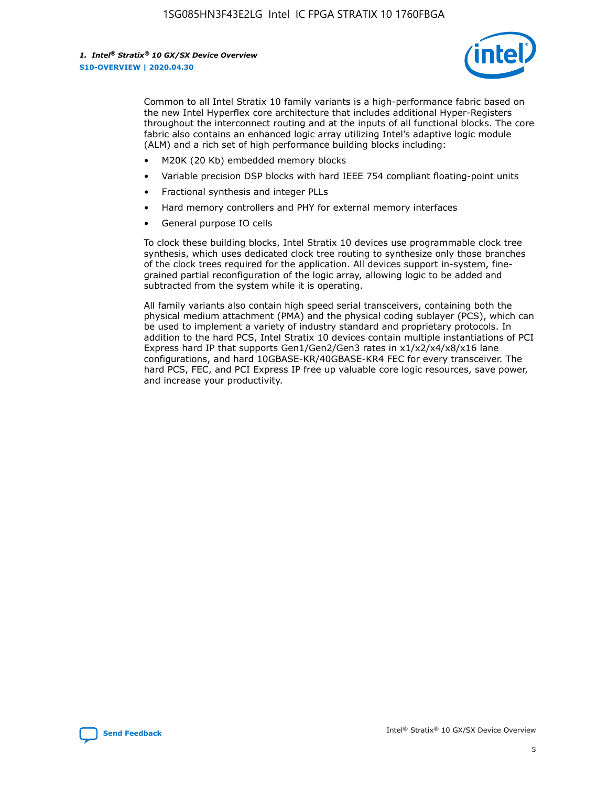

Common to all Intel Stratix 10 family variants is a high-performance fabric based on the new Intel Hyperflex core architecture that includes additional Hyper-Registers throughout the interconnect routing and at the inputs of all functional blocks. The core fabric also contains an enhanced logic array utilizing Intel's adaptive logic module (ALM) and a rich set of high performance building blocks including:

- M20K (20 Kb) embedded memory blocks
- Variable precision DSP blocks with hard IEEE 754 compliant floating-point units
- Fractional synthesis and integer PLLs
- Hard memory controllers and PHY for external memory interfaces
- General purpose IO cells

To clock these building blocks, Intel Stratix 10 devices use programmable clock tree synthesis, which uses dedicated clock tree routing to synthesize only those branches of the clock trees required for the application. All devices support in-system, finegrained partial reconfiguration of the logic array, allowing logic to be added and subtracted from the system while it is operating.

All family variants also contain high speed serial transceivers, containing both the physical medium attachment (PMA) and the physical coding sublayer (PCS), which can be used to implement a variety of industry standard and proprietary protocols. In addition to the hard PCS, Intel Stratix 10 devices contain multiple instantiations of PCI Express hard IP that supports Gen1/Gen2/Gen3 rates in x1/x2/x4/x8/x16 lane configurations, and hard 10GBASE-KR/40GBASE-KR4 FEC for every transceiver. The hard PCS, FEC, and PCI Express IP free up valuable core logic resources, save power, and increase your productivity.

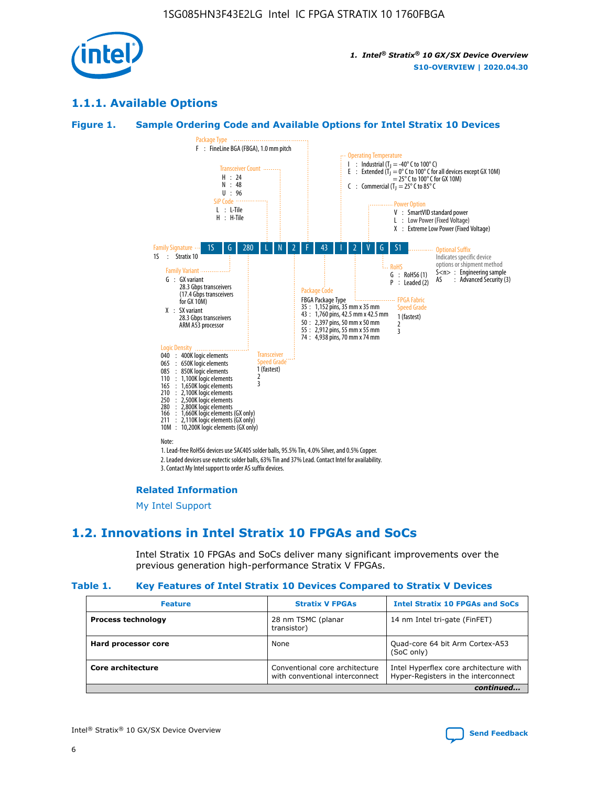

# **1.1.1. Available Options**

#### **Figure 1. Sample Ordering Code and Available Options for Intel Stratix 10 Devices**



#### **Related Information**

[My Intel Support](https://www.intel.com/content/www/us/en/programmable/my-intel/mal-home.html)

# **1.2. Innovations in Intel Stratix 10 FPGAs and SoCs**

Intel Stratix 10 FPGAs and SoCs deliver many significant improvements over the previous generation high-performance Stratix V FPGAs.

#### **Table 1. Key Features of Intel Stratix 10 Devices Compared to Stratix V Devices**

| <b>Feature</b>            | <b>Stratix V FPGAs</b>                                           | <b>Intel Stratix 10 FPGAs and SoCs</b>                                        |  |
|---------------------------|------------------------------------------------------------------|-------------------------------------------------------------------------------|--|
| <b>Process technology</b> | 28 nm TSMC (planar<br>transistor)                                | 14 nm Intel tri-gate (FinFET)                                                 |  |
| Hard processor core       | None                                                             | Quad-core 64 bit Arm Cortex-A53<br>(SoC only)                                 |  |
| Core architecture         | Conventional core architecture<br>with conventional interconnect | Intel Hyperflex core architecture with<br>Hyper-Registers in the interconnect |  |
|                           |                                                                  | continued                                                                     |  |

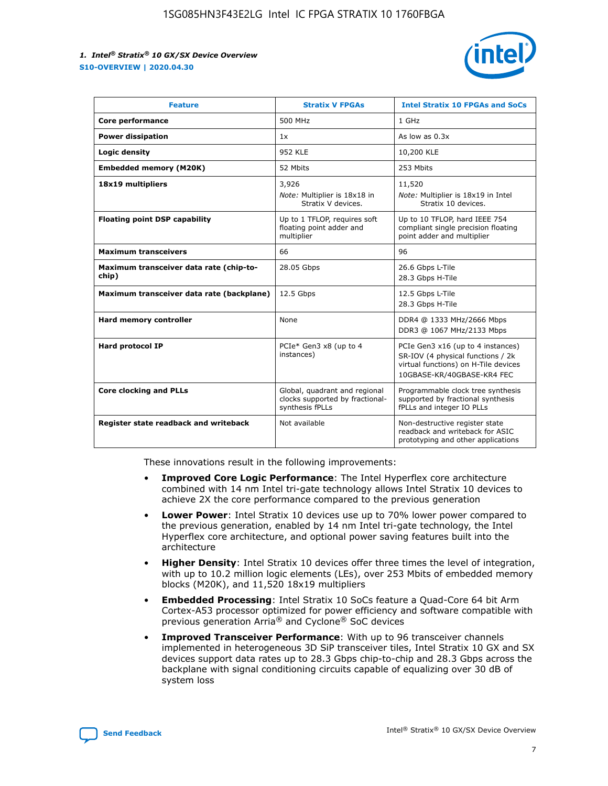

| <b>Feature</b>                                   | <b>Stratix V FPGAs</b>                                                              | <b>Intel Stratix 10 FPGAs and SoCs</b>                                                                                                       |
|--------------------------------------------------|-------------------------------------------------------------------------------------|----------------------------------------------------------------------------------------------------------------------------------------------|
| Core performance                                 | 500 MHz                                                                             | 1 GHz                                                                                                                                        |
| <b>Power dissipation</b>                         | 1x                                                                                  | As low as $0.3x$                                                                                                                             |
| Logic density                                    | <b>952 KLE</b>                                                                      | 10,200 KLE                                                                                                                                   |
| <b>Embedded memory (M20K)</b>                    | 52 Mbits                                                                            | 253 Mbits                                                                                                                                    |
| 18x19 multipliers                                | 3,926                                                                               | 11,520                                                                                                                                       |
|                                                  | Note: Multiplier is 18x18 in<br>Stratix V devices.                                  | Note: Multiplier is 18x19 in Intel<br>Stratix 10 devices.                                                                                    |
| <b>Floating point DSP capability</b>             | Up to 1 TFLOP, requires soft<br>floating point adder and<br>multiplier              | Up to 10 TFLOP, hard IEEE 754<br>compliant single precision floating<br>point adder and multiplier                                           |
| <b>Maximum transceivers</b>                      | 66                                                                                  | 96                                                                                                                                           |
| Maximum transceiver data rate (chip-to-<br>chip) | 28.05 Gbps                                                                          | 26.6 Gbps L-Tile<br>28.3 Gbps H-Tile                                                                                                         |
| Maximum transceiver data rate (backplane)        | 12.5 Gbps                                                                           | 12.5 Gbps L-Tile<br>28.3 Gbps H-Tile                                                                                                         |
| <b>Hard memory controller</b>                    | None                                                                                | DDR4 @ 1333 MHz/2666 Mbps<br>DDR3 @ 1067 MHz/2133 Mbps                                                                                       |
| <b>Hard protocol IP</b>                          | PCIe* Gen3 x8 (up to 4<br>instances)                                                | PCIe Gen3 x16 (up to 4 instances)<br>SR-IOV (4 physical functions / 2k<br>virtual functions) on H-Tile devices<br>10GBASE-KR/40GBASE-KR4 FEC |
| <b>Core clocking and PLLs</b>                    | Global, quadrant and regional<br>clocks supported by fractional-<br>synthesis fPLLs | Programmable clock tree synthesis<br>supported by fractional synthesis<br>fPLLs and integer IO PLLs                                          |
| Register state readback and writeback            | Not available                                                                       | Non-destructive register state<br>readback and writeback for ASIC<br>prototyping and other applications                                      |

These innovations result in the following improvements:

- **Improved Core Logic Performance**: The Intel Hyperflex core architecture combined with 14 nm Intel tri-gate technology allows Intel Stratix 10 devices to achieve 2X the core performance compared to the previous generation
- **Lower Power**: Intel Stratix 10 devices use up to 70% lower power compared to the previous generation, enabled by 14 nm Intel tri-gate technology, the Intel Hyperflex core architecture, and optional power saving features built into the architecture
- **Higher Density**: Intel Stratix 10 devices offer three times the level of integration, with up to 10.2 million logic elements (LEs), over 253 Mbits of embedded memory blocks (M20K), and 11,520 18x19 multipliers
- **Embedded Processing**: Intel Stratix 10 SoCs feature a Quad-Core 64 bit Arm Cortex-A53 processor optimized for power efficiency and software compatible with previous generation Arria® and Cyclone® SoC devices
- **Improved Transceiver Performance**: With up to 96 transceiver channels implemented in heterogeneous 3D SiP transceiver tiles, Intel Stratix 10 GX and SX devices support data rates up to 28.3 Gbps chip-to-chip and 28.3 Gbps across the backplane with signal conditioning circuits capable of equalizing over 30 dB of system loss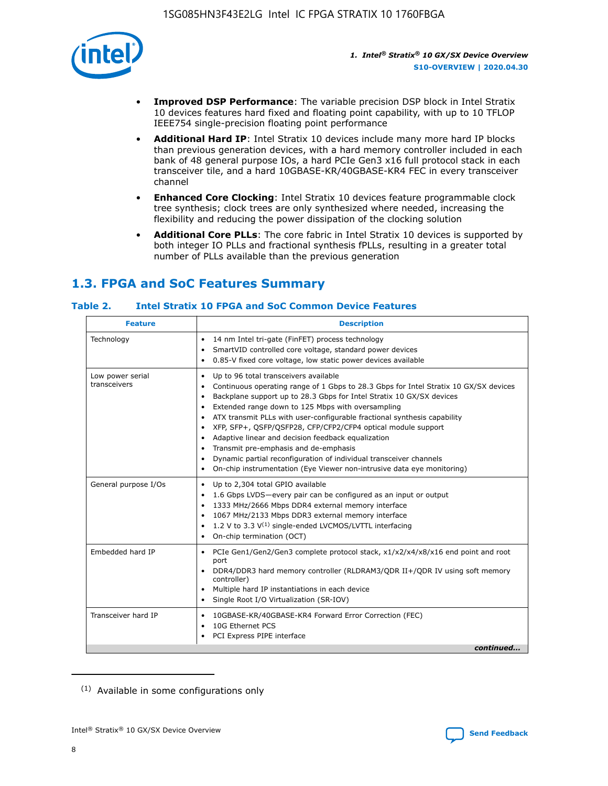

- **Improved DSP Performance**: The variable precision DSP block in Intel Stratix 10 devices features hard fixed and floating point capability, with up to 10 TFLOP IEEE754 single-precision floating point performance
- **Additional Hard IP**: Intel Stratix 10 devices include many more hard IP blocks than previous generation devices, with a hard memory controller included in each bank of 48 general purpose IOs, a hard PCIe Gen3 x16 full protocol stack in each transceiver tile, and a hard 10GBASE-KR/40GBASE-KR4 FEC in every transceiver channel
- **Enhanced Core Clocking**: Intel Stratix 10 devices feature programmable clock tree synthesis; clock trees are only synthesized where needed, increasing the flexibility and reducing the power dissipation of the clocking solution
- **Additional Core PLLs**: The core fabric in Intel Stratix 10 devices is supported by both integer IO PLLs and fractional synthesis fPLLs, resulting in a greater total number of PLLs available than the previous generation

# **1.3. FPGA and SoC Features Summary**

#### **Table 2. Intel Stratix 10 FPGA and SoC Common Device Features**

| <b>Feature</b>                   | <b>Description</b>                                                                                                                                                                                                                                                                                                                                                                                                                                                                                                                                                                                                                                                                                                                                   |
|----------------------------------|------------------------------------------------------------------------------------------------------------------------------------------------------------------------------------------------------------------------------------------------------------------------------------------------------------------------------------------------------------------------------------------------------------------------------------------------------------------------------------------------------------------------------------------------------------------------------------------------------------------------------------------------------------------------------------------------------------------------------------------------------|
| Technology                       | 14 nm Intel tri-gate (FinFET) process technology<br>٠<br>SmartVID controlled core voltage, standard power devices<br>0.85-V fixed core voltage, low static power devices available                                                                                                                                                                                                                                                                                                                                                                                                                                                                                                                                                                   |
| Low power serial<br>transceivers | Up to 96 total transceivers available<br>$\bullet$<br>Continuous operating range of 1 Gbps to 28.3 Gbps for Intel Stratix 10 GX/SX devices<br>$\bullet$<br>Backplane support up to 28.3 Gbps for Intel Stratix 10 GX/SX devices<br>$\bullet$<br>Extended range down to 125 Mbps with oversampling<br>$\bullet$<br>ATX transmit PLLs with user-configurable fractional synthesis capability<br>$\bullet$<br>• XFP, SFP+, OSFP/OSFP28, CFP/CFP2/CFP4 optical module support<br>• Adaptive linear and decision feedback equalization<br>Transmit pre-emphasis and de-emphasis<br>Dynamic partial reconfiguration of individual transceiver channels<br>$\bullet$<br>On-chip instrumentation (Eye Viewer non-intrusive data eye monitoring)<br>$\bullet$ |
| General purpose I/Os             | Up to 2,304 total GPIO available<br>$\bullet$<br>1.6 Gbps LVDS-every pair can be configured as an input or output<br>$\bullet$<br>1333 MHz/2666 Mbps DDR4 external memory interface<br>1067 MHz/2133 Mbps DDR3 external memory interface<br>1.2 V to 3.3 $V^{(1)}$ single-ended LVCMOS/LVTTL interfacing<br>$\bullet$<br>On-chip termination (OCT)<br>$\bullet$                                                                                                                                                                                                                                                                                                                                                                                      |
| Embedded hard IP                 | • PCIe Gen1/Gen2/Gen3 complete protocol stack, $x1/x2/x4/x8/x16$ end point and root<br>port<br>DDR4/DDR3 hard memory controller (RLDRAM3/QDR II+/QDR IV using soft memory<br>controller)<br>Multiple hard IP instantiations in each device<br>$\bullet$<br>• Single Root I/O Virtualization (SR-IOV)                                                                                                                                                                                                                                                                                                                                                                                                                                                 |
| Transceiver hard IP              | 10GBASE-KR/40GBASE-KR4 Forward Error Correction (FEC)<br>$\bullet$<br>10G Ethernet PCS<br>$\bullet$<br>• PCI Express PIPE interface<br>continued                                                                                                                                                                                                                                                                                                                                                                                                                                                                                                                                                                                                     |

<sup>(1)</sup> Available in some configurations only

8

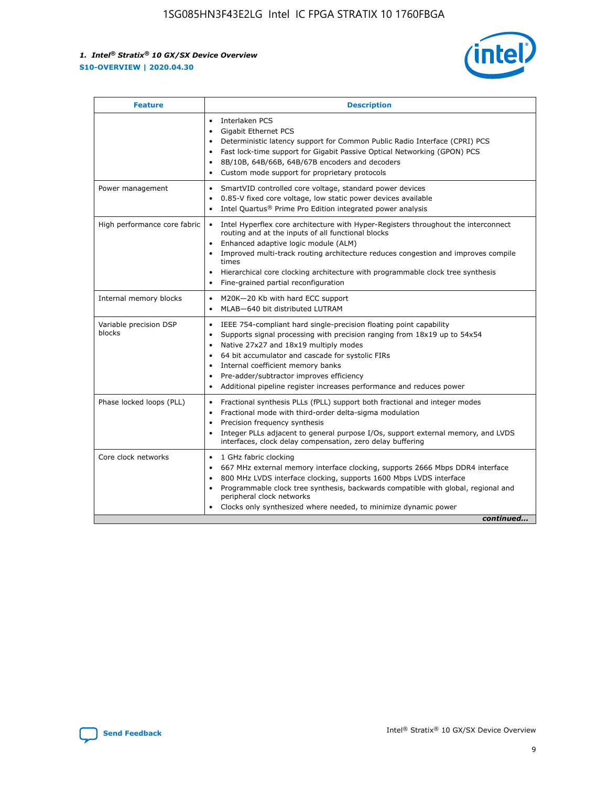

| <b>Feature</b>                   | <b>Description</b>                                                                                                                                                                                                                                                                                                                                                                                                                                                    |  |  |  |
|----------------------------------|-----------------------------------------------------------------------------------------------------------------------------------------------------------------------------------------------------------------------------------------------------------------------------------------------------------------------------------------------------------------------------------------------------------------------------------------------------------------------|--|--|--|
|                                  | Interlaken PCS<br>$\bullet$<br>Gigabit Ethernet PCS<br>$\bullet$<br>Deterministic latency support for Common Public Radio Interface (CPRI) PCS<br>$\bullet$<br>Fast lock-time support for Gigabit Passive Optical Networking (GPON) PCS<br>$\bullet$<br>8B/10B, 64B/66B, 64B/67B encoders and decoders<br>$\bullet$<br>Custom mode support for proprietary protocols<br>$\bullet$                                                                                     |  |  |  |
| Power management                 | SmartVID controlled core voltage, standard power devices<br>$\bullet$<br>0.85-V fixed core voltage, low static power devices available<br>$\bullet$<br>Intel Quartus <sup>®</sup> Prime Pro Edition integrated power analysis<br>$\bullet$                                                                                                                                                                                                                            |  |  |  |
| High performance core fabric     | Intel Hyperflex core architecture with Hyper-Registers throughout the interconnect<br>$\bullet$<br>routing and at the inputs of all functional blocks<br>Enhanced adaptive logic module (ALM)<br>$\bullet$<br>Improved multi-track routing architecture reduces congestion and improves compile<br>times<br>Hierarchical core clocking architecture with programmable clock tree synthesis<br>Fine-grained partial reconfiguration                                    |  |  |  |
| Internal memory blocks           | M20K-20 Kb with hard ECC support<br>٠<br>MLAB-640 bit distributed LUTRAM<br>$\bullet$                                                                                                                                                                                                                                                                                                                                                                                 |  |  |  |
| Variable precision DSP<br>blocks | IEEE 754-compliant hard single-precision floating point capability<br>$\bullet$<br>Supports signal processing with precision ranging from 18x19 up to 54x54<br>$\bullet$<br>Native 27x27 and 18x19 multiply modes<br>$\bullet$<br>64 bit accumulator and cascade for systolic FIRs<br>Internal coefficient memory banks<br>Pre-adder/subtractor improves efficiency<br>$\bullet$<br>Additional pipeline register increases performance and reduces power<br>$\bullet$ |  |  |  |
| Phase locked loops (PLL)         | Fractional synthesis PLLs (fPLL) support both fractional and integer modes<br>$\bullet$<br>Fractional mode with third-order delta-sigma modulation<br>Precision frequency synthesis<br>$\bullet$<br>Integer PLLs adjacent to general purpose I/Os, support external memory, and LVDS<br>$\bullet$<br>interfaces, clock delay compensation, zero delay buffering                                                                                                       |  |  |  |
| Core clock networks              | 1 GHz fabric clocking<br>$\bullet$<br>667 MHz external memory interface clocking, supports 2666 Mbps DDR4 interface<br>$\bullet$<br>800 MHz LVDS interface clocking, supports 1600 Mbps LVDS interface<br>$\bullet$<br>Programmable clock tree synthesis, backwards compatible with global, regional and<br>$\bullet$<br>peripheral clock networks<br>Clocks only synthesized where needed, to minimize dynamic power<br>continued                                    |  |  |  |

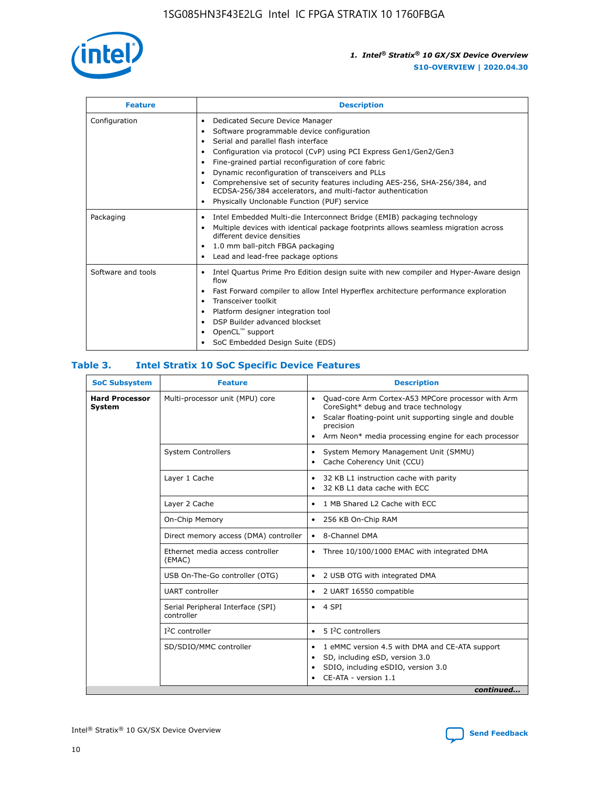

| <b>Feature</b>     | <b>Description</b>                                                                                                                                                                                                                                                                                                                                                                                                                                                                                                    |
|--------------------|-----------------------------------------------------------------------------------------------------------------------------------------------------------------------------------------------------------------------------------------------------------------------------------------------------------------------------------------------------------------------------------------------------------------------------------------------------------------------------------------------------------------------|
| Configuration      | Dedicated Secure Device Manager<br>٠<br>Software programmable device configuration<br>٠<br>Serial and parallel flash interface<br>٠<br>Configuration via protocol (CvP) using PCI Express Gen1/Gen2/Gen3<br>Fine-grained partial reconfiguration of core fabric<br>Dynamic reconfiguration of transceivers and PLLs<br>٠<br>Comprehensive set of security features including AES-256, SHA-256/384, and<br>ECDSA-256/384 accelerators, and multi-factor authentication<br>Physically Unclonable Function (PUF) service |
| Packaging          | Intel Embedded Multi-die Interconnect Bridge (EMIB) packaging technology<br>٠<br>Multiple devices with identical package footprints allows seamless migration across<br>٠<br>different device densities<br>1.0 mm ball-pitch FBGA packaging<br>٠<br>Lead and lead-free package options                                                                                                                                                                                                                                |
| Software and tools | Intel Quartus Prime Pro Edition design suite with new compiler and Hyper-Aware design<br>flow<br>Fast Forward compiler to allow Intel Hyperflex architecture performance exploration<br>٠<br>Transceiver toolkit<br>Platform designer integration tool<br>DSP Builder advanced blockset<br>OpenCL <sup>™</sup> support<br>SoC Embedded Design Suite (EDS)                                                                                                                                                             |

#### **Table 3. Intel Stratix 10 SoC Specific Device Features**

| <b>Hard Processor</b> | Multi-processor unit (MPU) core                 |                                                                                                                                                                                                                                                                    |  |  |
|-----------------------|-------------------------------------------------|--------------------------------------------------------------------------------------------------------------------------------------------------------------------------------------------------------------------------------------------------------------------|--|--|
| <b>System</b>         |                                                 | Quad-core Arm Cortex-A53 MPCore processor with Arm<br>$\bullet$<br>CoreSight* debug and trace technology<br>Scalar floating-point unit supporting single and double<br>$\bullet$<br>precision<br>Arm Neon* media processing engine for each processor<br>$\bullet$ |  |  |
|                       | <b>System Controllers</b>                       | System Memory Management Unit (SMMU)<br>٠<br>Cache Coherency Unit (CCU)<br>$\bullet$                                                                                                                                                                               |  |  |
|                       | Layer 1 Cache                                   | 32 KB L1 instruction cache with parity<br>$\bullet$<br>32 KB L1 data cache with ECC<br>$\bullet$                                                                                                                                                                   |  |  |
|                       | Layer 2 Cache                                   | 1 MB Shared L2 Cache with ECC<br>$\bullet$                                                                                                                                                                                                                         |  |  |
|                       | On-Chip Memory                                  | 256 KB On-Chip RAM<br>٠                                                                                                                                                                                                                                            |  |  |
|                       | Direct memory access (DMA) controller           | • 8-Channel DMA                                                                                                                                                                                                                                                    |  |  |
|                       | Ethernet media access controller<br>(EMAC)      | Three 10/100/1000 EMAC with integrated DMA<br>$\bullet$                                                                                                                                                                                                            |  |  |
|                       | USB On-The-Go controller (OTG)                  | 2 USB OTG with integrated DMA<br>٠                                                                                                                                                                                                                                 |  |  |
|                       | <b>UART</b> controller                          | 2 UART 16550 compatible<br>٠                                                                                                                                                                                                                                       |  |  |
|                       | Serial Peripheral Interface (SPI)<br>controller | $\bullet$ 4 SPI                                                                                                                                                                                                                                                    |  |  |
|                       | $I2C$ controller                                | 5 I <sup>2</sup> C controllers<br>$\bullet$                                                                                                                                                                                                                        |  |  |
|                       | SD/SDIO/MMC controller                          | 1 eMMC version 4.5 with DMA and CE-ATA support<br>٠<br>SD, including eSD, version 3.0<br>$\bullet$<br>SDIO, including eSDIO, version 3.0<br>CE-ATA - version 1.1<br>continued                                                                                      |  |  |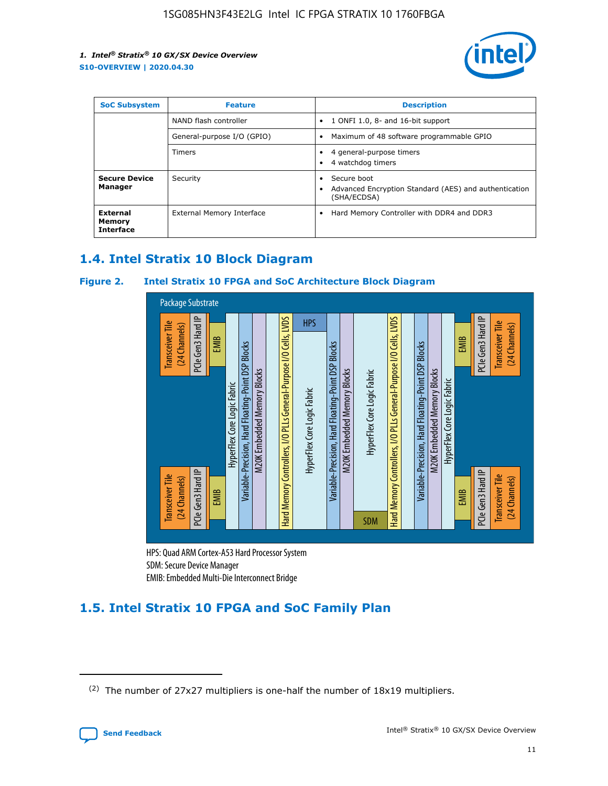

| <b>SoC Subsystem</b>                   | <b>Feature</b>             | <b>Description</b>                                                                                    |
|----------------------------------------|----------------------------|-------------------------------------------------------------------------------------------------------|
|                                        | NAND flash controller      | 1 ONFI 1.0, 8- and 16-bit support<br>$\bullet$                                                        |
|                                        | General-purpose I/O (GPIO) | Maximum of 48 software programmable GPIO<br>$\bullet$                                                 |
|                                        | Timers                     | 4 general-purpose timers<br>4 watchdog timers<br>٠                                                    |
| <b>Secure Device</b><br>Manager        | Security                   | Secure boot<br>$\bullet$<br>Advanced Encryption Standard (AES) and authentication<br>٠<br>(SHA/ECDSA) |
| External<br>Memory<br><b>Interface</b> | External Memory Interface  | Hard Memory Controller with DDR4 and DDR3<br>$\bullet$                                                |

# **1.4. Intel Stratix 10 Block Diagram**

#### **Figure 2. Intel Stratix 10 FPGA and SoC Architecture Block Diagram**



HPS: Quad ARM Cortex-A53 Hard Processor System SDM: Secure Device Manager

# **1.5. Intel Stratix 10 FPGA and SoC Family Plan**

<sup>(2)</sup> The number of 27x27 multipliers is one-half the number of 18x19 multipliers.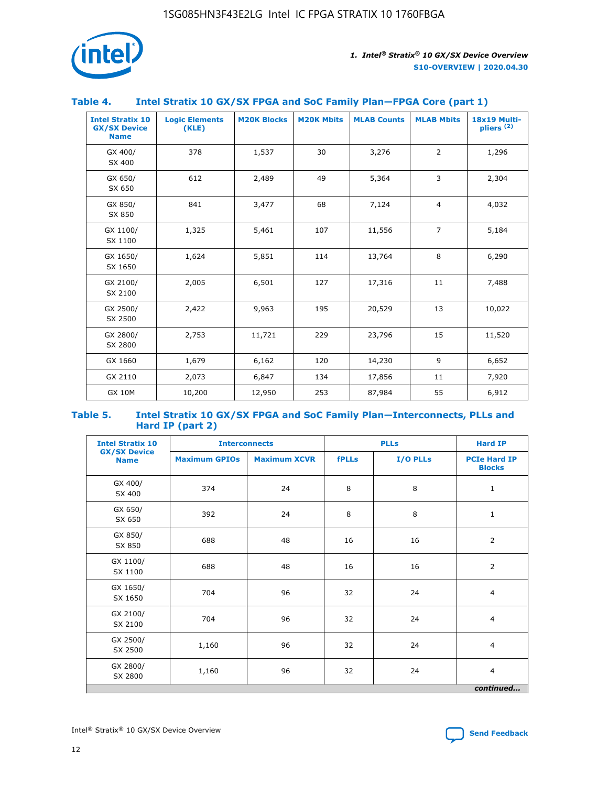

#### **Table 4. Intel Stratix 10 GX/SX FPGA and SoC Family Plan—FPGA Core (part 1)**

| <b>Intel Stratix 10</b><br><b>GX/SX Device</b><br><b>Name</b> | <b>Logic Elements</b><br>(KLE) | <b>M20K Blocks</b> | <b>M20K Mbits</b> | <b>MLAB Counts</b> | <b>MLAB Mbits</b> | 18x19 Multi-<br>pliers <sup>(2)</sup> |
|---------------------------------------------------------------|--------------------------------|--------------------|-------------------|--------------------|-------------------|---------------------------------------|
| GX 400/<br>SX 400                                             | 378                            | 1,537              | 30                | 3,276              | $\overline{2}$    | 1,296                                 |
| GX 650/<br>SX 650                                             | 612                            | 2,489              | 49                | 5,364              | 3                 | 2,304                                 |
| GX 850/<br>SX 850                                             | 841                            | 3,477              | 68                | 7,124              | $\overline{4}$    | 4,032                                 |
| GX 1100/<br>SX 1100                                           | 1,325                          | 5,461              | 107               | 11,556             | $\overline{7}$    | 5,184                                 |
| GX 1650/<br>SX 1650                                           | 1,624                          | 5,851              | 114               | 13,764             | 8                 | 6,290                                 |
| GX 2100/<br>SX 2100                                           | 2,005                          | 6,501              | 127               | 17,316             | 11                | 7,488                                 |
| GX 2500/<br>SX 2500                                           | 2,422                          | 9,963              | 195               | 20,529             | 13                | 10,022                                |
| GX 2800/<br>SX 2800                                           | 2,753                          | 11,721             | 229               | 23,796             | 15                | 11,520                                |
| GX 1660                                                       | 1,679                          | 6,162              | 120               | 14,230             | 9                 | 6,652                                 |
| GX 2110                                                       | 2,073                          | 6,847              | 134               | 17,856             | 11                | 7,920                                 |
| <b>GX 10M</b>                                                 | 10,200                         | 12,950             | 253               | 87,984             | 55                | 6,912                                 |

#### **Table 5. Intel Stratix 10 GX/SX FPGA and SoC Family Plan—Interconnects, PLLs and Hard IP (part 2)**

| <b>Intel Stratix 10</b>            |                      | <b>PLLs</b><br><b>Interconnects</b> |              |          | <b>Hard IP</b>                       |  |
|------------------------------------|----------------------|-------------------------------------|--------------|----------|--------------------------------------|--|
| <b>GX/SX Device</b><br><b>Name</b> | <b>Maximum GPIOs</b> | <b>Maximum XCVR</b>                 | <b>fPLLs</b> | I/O PLLs | <b>PCIe Hard IP</b><br><b>Blocks</b> |  |
| GX 400/<br>SX 400                  | 374                  | 24                                  | 8            | 8        | $\mathbf{1}$                         |  |
| GX 650/<br>SX 650                  | 392                  | 24                                  | 8            | 8        | $\mathbf{1}$                         |  |
| GX 850/<br>SX 850                  | 688                  | 48                                  | 16           | 16       | 2                                    |  |
| GX 1100/<br>SX 1100                | 688                  | 48                                  | 16           | 16       | 2                                    |  |
| GX 1650/<br>SX 1650                | 704                  | 96                                  | 32           | 24       | $\overline{4}$                       |  |
| GX 2100/<br>SX 2100                | 704                  | 96                                  | 32           | 24       | $\overline{4}$                       |  |
| GX 2500/<br>SX 2500                | 1,160                | 96                                  | 32           | 24       | $\overline{4}$                       |  |
| GX 2800/<br>SX 2800                | 1,160                | 96                                  | 32           | 24       | $\overline{4}$                       |  |
| continued                          |                      |                                     |              |          |                                      |  |

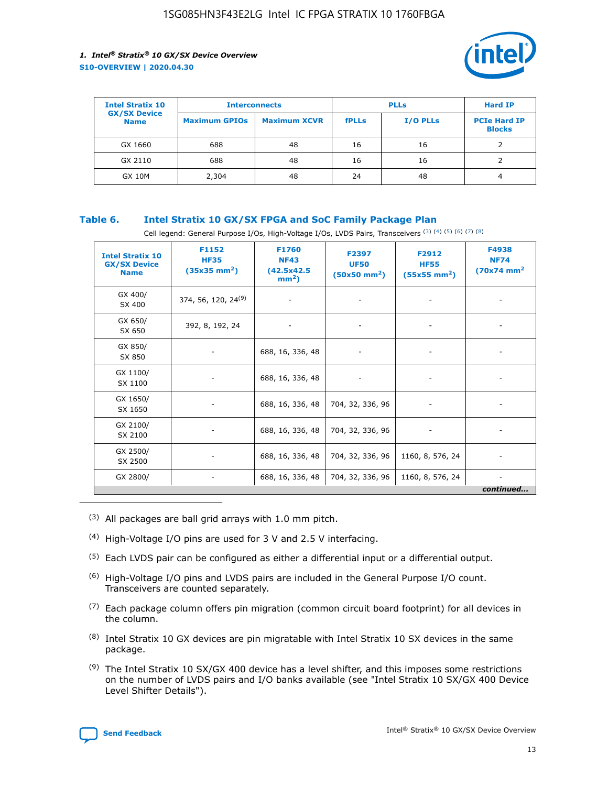

| <b>Intel Stratix 10</b>            | <b>Interconnects</b> |                     | <b>PLLs</b>  |                 | <b>Hard IP</b>                       |
|------------------------------------|----------------------|---------------------|--------------|-----------------|--------------------------------------|
| <b>GX/SX Device</b><br><b>Name</b> | <b>Maximum GPIOs</b> | <b>Maximum XCVR</b> | <b>fPLLs</b> | <b>I/O PLLs</b> | <b>PCIe Hard IP</b><br><b>Blocks</b> |
| GX 1660                            | 688                  | 48                  | 16           | 16              |                                      |
| GX 2110                            | 688                  | 48                  | 16           | 16              |                                      |
| <b>GX 10M</b>                      | 2,304                | 48                  | 24           | 48              | 4                                    |

#### **Table 6. Intel Stratix 10 GX/SX FPGA and SoC Family Package Plan**

Cell legend: General Purpose I/Os, High-Voltage I/Os, LVDS Pairs, Transceivers (3) (4) (5) (6) (7) (8)

| <b>Intel Stratix 10</b><br><b>GX/SX Device</b><br><b>Name</b> | F1152<br><b>HF35</b><br>$(35x35 \text{ mm}^2)$ | F1760<br><b>NF43</b><br>(42.5x42.5<br>$mm2$ ) | F2397<br><b>UF50</b><br>$(50x50 \text{ mm}^2)$ | F2912<br><b>HF55</b><br>$(55x55$ mm <sup>2</sup> ) | F4938<br><b>NF74</b><br>$(70x74)$ mm <sup>2</sup> |
|---------------------------------------------------------------|------------------------------------------------|-----------------------------------------------|------------------------------------------------|----------------------------------------------------|---------------------------------------------------|
| GX 400/<br>SX 400                                             | 374, 56, 120, 24 <sup>(9)</sup>                | $\overline{\phantom{a}}$                      | $\overline{\phantom{a}}$                       | ۰                                                  |                                                   |
| GX 650/<br>SX 650                                             | 392, 8, 192, 24                                | $\overline{\phantom{a}}$                      | $\overline{\phantom{a}}$                       |                                                    |                                                   |
| GX 850/<br>SX 850                                             | ۰.                                             | 688, 16, 336, 48                              |                                                |                                                    |                                                   |
| GX 1100/<br>SX 1100                                           |                                                | 688, 16, 336, 48                              |                                                |                                                    |                                                   |
| GX 1650/<br>SX 1650                                           |                                                | 688, 16, 336, 48                              | 704, 32, 336, 96                               |                                                    |                                                   |
| GX 2100/<br>SX 2100                                           | -                                              | 688, 16, 336, 48                              | 704, 32, 336, 96                               | $\overline{\phantom{a}}$                           |                                                   |
| GX 2500/<br>SX 2500                                           |                                                | 688, 16, 336, 48                              | 704, 32, 336, 96                               | 1160, 8, 576, 24                                   |                                                   |
| GX 2800/                                                      | -                                              | 688, 16, 336, 48                              | 704, 32, 336, 96                               | 1160, 8, 576, 24                                   | $\overline{\phantom{a}}$<br>continued             |

- (3) All packages are ball grid arrays with 1.0 mm pitch.
- (4) High-Voltage I/O pins are used for 3 V and 2.5 V interfacing.
- $(5)$  Each LVDS pair can be configured as either a differential input or a differential output.
- (6) High-Voltage I/O pins and LVDS pairs are included in the General Purpose I/O count. Transceivers are counted separately.
- $(7)$  Each package column offers pin migration (common circuit board footprint) for all devices in the column.
- $(8)$  Intel Stratix 10 GX devices are pin migratable with Intel Stratix 10 SX devices in the same package.
- $(9)$  The Intel Stratix 10 SX/GX 400 device has a level shifter, and this imposes some restrictions on the number of LVDS pairs and I/O banks available (see "Intel Stratix 10 SX/GX 400 Device Level Shifter Details").

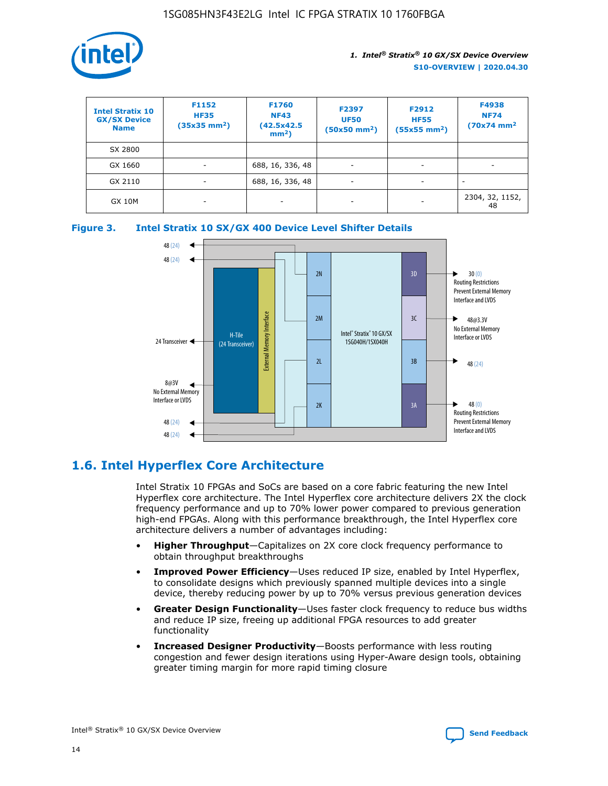

| <b>Intel Stratix 10</b><br><b>GX/SX Device</b><br><b>Name</b> | F1152<br><b>HF35</b><br>$(35x35 \text{ mm}^2)$ | F1760<br><b>NF43</b><br>(42.5x42.5<br>$mm2$ ) | F2397<br><b>UF50</b><br>$(50x50 \text{ mm}^2)$ | F2912<br><b>HF55</b><br>$(55x55$ mm <sup>2</sup> ) | F4938<br><b>NF74</b><br>$(70x74)$ mm <sup>2</sup> |
|---------------------------------------------------------------|------------------------------------------------|-----------------------------------------------|------------------------------------------------|----------------------------------------------------|---------------------------------------------------|
| SX 2800                                                       |                                                |                                               |                                                |                                                    |                                                   |
| GX 1660                                                       | ٠                                              | 688, 16, 336, 48                              | ٠                                              |                                                    |                                                   |
| GX 2110                                                       |                                                | 688, 16, 336, 48                              | $\overline{\phantom{a}}$                       |                                                    |                                                   |
| <b>GX 10M</b>                                                 | ۰                                              | -                                             | -                                              |                                                    | 2304, 32, 1152,<br>48                             |





# **1.6. Intel Hyperflex Core Architecture**

Intel Stratix 10 FPGAs and SoCs are based on a core fabric featuring the new Intel Hyperflex core architecture. The Intel Hyperflex core architecture delivers 2X the clock frequency performance and up to 70% lower power compared to previous generation high-end FPGAs. Along with this performance breakthrough, the Intel Hyperflex core architecture delivers a number of advantages including:

- **Higher Throughput**—Capitalizes on 2X core clock frequency performance to obtain throughput breakthroughs
- **Improved Power Efficiency**—Uses reduced IP size, enabled by Intel Hyperflex, to consolidate designs which previously spanned multiple devices into a single device, thereby reducing power by up to 70% versus previous generation devices
- **Greater Design Functionality**—Uses faster clock frequency to reduce bus widths and reduce IP size, freeing up additional FPGA resources to add greater functionality
- **Increased Designer Productivity**—Boosts performance with less routing congestion and fewer design iterations using Hyper-Aware design tools, obtaining greater timing margin for more rapid timing closure

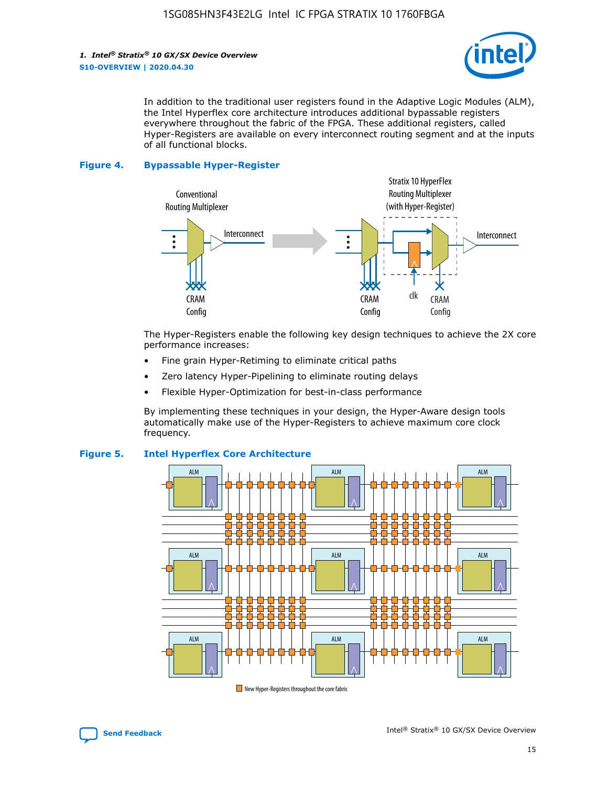

In addition to the traditional user registers found in the Adaptive Logic Modules (ALM), the Intel Hyperflex core architecture introduces additional bypassable registers everywhere throughout the fabric of the FPGA. These additional registers, called Hyper-Registers are available on every interconnect routing segment and at the inputs of all functional blocks.

#### **Figure 4. Bypassable Hyper-Register**



The Hyper-Registers enable the following key design techniques to achieve the 2X core performance increases:

- Fine grain Hyper-Retiming to eliminate critical paths
- Zero latency Hyper-Pipelining to eliminate routing delays
- Flexible Hyper-Optimization for best-in-class performance

By implementing these techniques in your design, the Hyper-Aware design tools automatically make use of the Hyper-Registers to achieve maximum core clock frequency.



#### **Figure 5. Intel Hyperflex Core Architecture**

New Hyper-Registers throughout the core fabric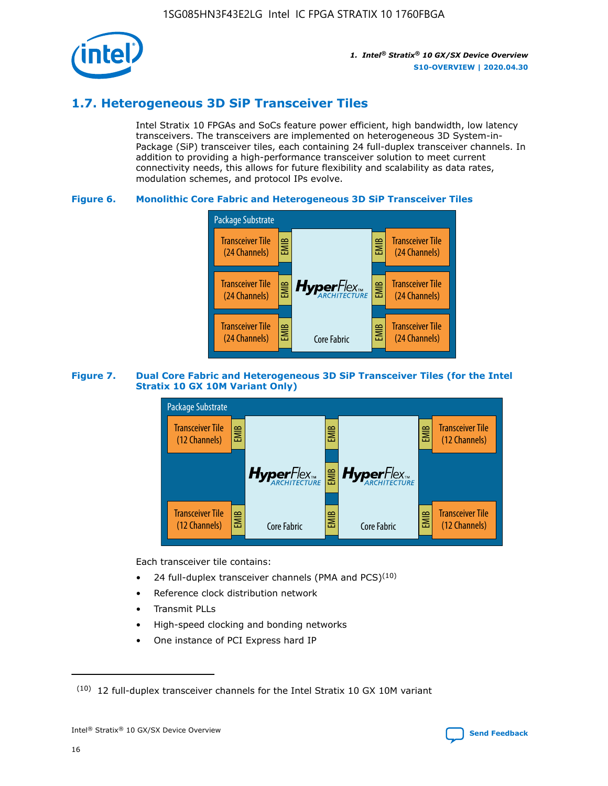

# **1.7. Heterogeneous 3D SiP Transceiver Tiles**

Intel Stratix 10 FPGAs and SoCs feature power efficient, high bandwidth, low latency transceivers. The transceivers are implemented on heterogeneous 3D System-in-Package (SiP) transceiver tiles, each containing 24 full-duplex transceiver channels. In addition to providing a high-performance transceiver solution to meet current connectivity needs, this allows for future flexibility and scalability as data rates, modulation schemes, and protocol IPs evolve.

#### **Figure 6. Monolithic Core Fabric and Heterogeneous 3D SiP Transceiver Tiles**



#### **Figure 7. Dual Core Fabric and Heterogeneous 3D SiP Transceiver Tiles (for the Intel Stratix 10 GX 10M Variant Only)**



Each transceiver tile contains:

- 24 full-duplex transceiver channels (PMA and PCS) $(10)$
- Reference clock distribution network
- Transmit PLLs
- High-speed clocking and bonding networks
- One instance of PCI Express hard IP

 $(10)$  12 full-duplex transceiver channels for the Intel Stratix 10 GX 10M variant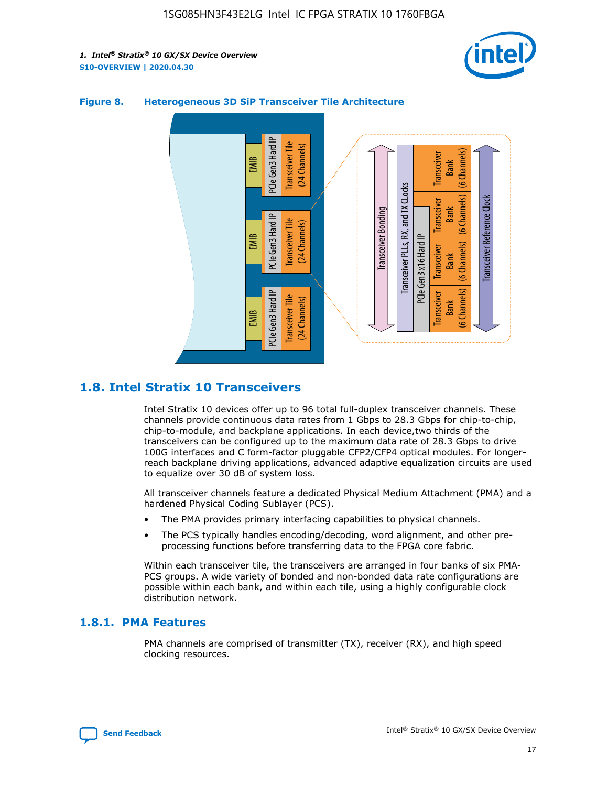



#### **Figure 8. Heterogeneous 3D SiP Transceiver Tile Architecture**

# **1.8. Intel Stratix 10 Transceivers**

Intel Stratix 10 devices offer up to 96 total full-duplex transceiver channels. These channels provide continuous data rates from 1 Gbps to 28.3 Gbps for chip-to-chip, chip-to-module, and backplane applications. In each device,two thirds of the transceivers can be configured up to the maximum data rate of 28.3 Gbps to drive 100G interfaces and C form-factor pluggable CFP2/CFP4 optical modules. For longerreach backplane driving applications, advanced adaptive equalization circuits are used to equalize over 30 dB of system loss.

All transceiver channels feature a dedicated Physical Medium Attachment (PMA) and a hardened Physical Coding Sublayer (PCS).

- The PMA provides primary interfacing capabilities to physical channels.
- The PCS typically handles encoding/decoding, word alignment, and other preprocessing functions before transferring data to the FPGA core fabric.

Within each transceiver tile, the transceivers are arranged in four banks of six PMA-PCS groups. A wide variety of bonded and non-bonded data rate configurations are possible within each bank, and within each tile, using a highly configurable clock distribution network.

#### **1.8.1. PMA Features**

PMA channels are comprised of transmitter (TX), receiver (RX), and high speed clocking resources.

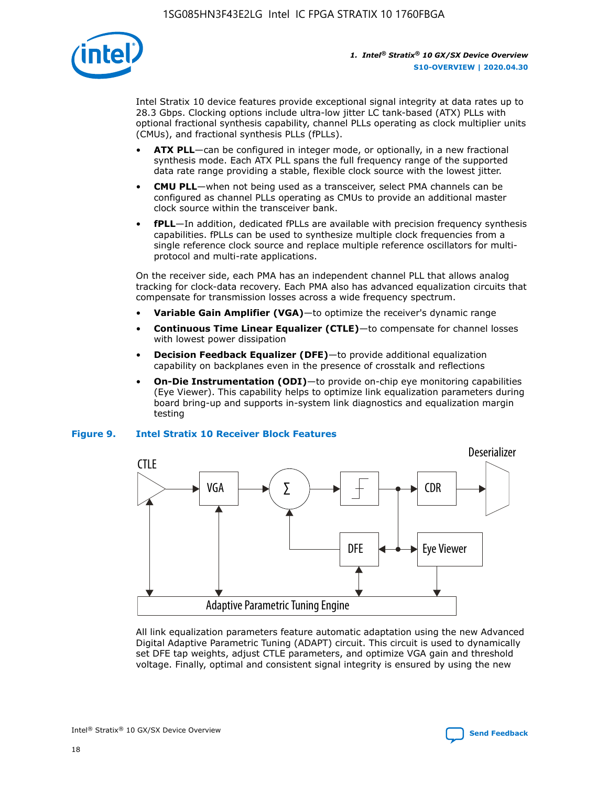

Intel Stratix 10 device features provide exceptional signal integrity at data rates up to 28.3 Gbps. Clocking options include ultra-low jitter LC tank-based (ATX) PLLs with optional fractional synthesis capability, channel PLLs operating as clock multiplier units (CMUs), and fractional synthesis PLLs (fPLLs).

- **ATX PLL**—can be configured in integer mode, or optionally, in a new fractional synthesis mode. Each ATX PLL spans the full frequency range of the supported data rate range providing a stable, flexible clock source with the lowest jitter.
- **CMU PLL**—when not being used as a transceiver, select PMA channels can be configured as channel PLLs operating as CMUs to provide an additional master clock source within the transceiver bank.
- **fPLL**—In addition, dedicated fPLLs are available with precision frequency synthesis capabilities. fPLLs can be used to synthesize multiple clock frequencies from a single reference clock source and replace multiple reference oscillators for multiprotocol and multi-rate applications.

On the receiver side, each PMA has an independent channel PLL that allows analog tracking for clock-data recovery. Each PMA also has advanced equalization circuits that compensate for transmission losses across a wide frequency spectrum.

- **Variable Gain Amplifier (VGA)**—to optimize the receiver's dynamic range
- **Continuous Time Linear Equalizer (CTLE)**—to compensate for channel losses with lowest power dissipation
- **Decision Feedback Equalizer (DFE)**—to provide additional equalization capability on backplanes even in the presence of crosstalk and reflections
- **On-Die Instrumentation (ODI)**—to provide on-chip eye monitoring capabilities (Eye Viewer). This capability helps to optimize link equalization parameters during board bring-up and supports in-system link diagnostics and equalization margin testing

#### **Figure 9. Intel Stratix 10 Receiver Block Features**



All link equalization parameters feature automatic adaptation using the new Advanced Digital Adaptive Parametric Tuning (ADAPT) circuit. This circuit is used to dynamically set DFE tap weights, adjust CTLE parameters, and optimize VGA gain and threshold voltage. Finally, optimal and consistent signal integrity is ensured by using the new



Intel<sup>®</sup> Stratix<sup>®</sup> 10 GX/SX Device Overview **[Send Feedback](mailto:FPGAtechdocfeedback@intel.com?subject=Feedback%20on%20Intel%20Stratix%2010%20GX/SX%20Device%20Overview%20(S10-OVERVIEW%202020.04.30)&body=We%20appreciate%20your%20feedback.%20In%20your%20comments,%20also%20specify%20the%20page%20number%20or%20paragraph.%20Thank%20you.)** Send Feedback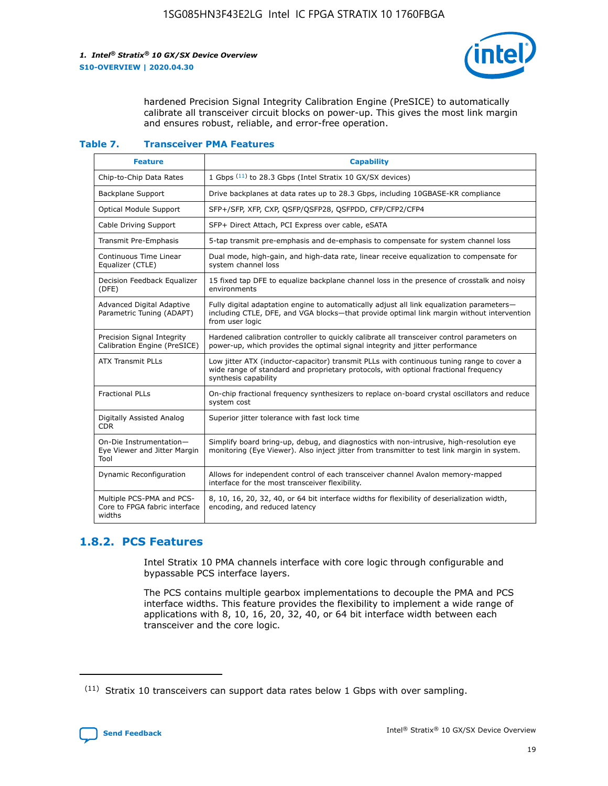

hardened Precision Signal Integrity Calibration Engine (PreSICE) to automatically calibrate all transceiver circuit blocks on power-up. This gives the most link margin and ensures robust, reliable, and error-free operation.

#### **Table 7. Transceiver PMA Features**

| <b>Feature</b>                                                       | <b>Capability</b>                                                                                                                                                                                         |
|----------------------------------------------------------------------|-----------------------------------------------------------------------------------------------------------------------------------------------------------------------------------------------------------|
| Chip-to-Chip Data Rates                                              | 1 Gbps (11) to 28.3 Gbps (Intel Stratix 10 GX/SX devices)                                                                                                                                                 |
| <b>Backplane Support</b>                                             | Drive backplanes at data rates up to 28.3 Gbps, including 10GBASE-KR compliance                                                                                                                           |
| Optical Module Support                                               | SFP+/SFP, XFP, CXP, QSFP/QSFP28, QSFPDD, CFP/CFP2/CFP4                                                                                                                                                    |
| Cable Driving Support                                                | SFP+ Direct Attach, PCI Express over cable, eSATA                                                                                                                                                         |
| <b>Transmit Pre-Emphasis</b>                                         | 5-tap transmit pre-emphasis and de-emphasis to compensate for system channel loss                                                                                                                         |
| Continuous Time Linear<br>Equalizer (CTLE)                           | Dual mode, high-gain, and high-data rate, linear receive equalization to compensate for<br>system channel loss                                                                                            |
| Decision Feedback Equalizer<br>(DFE)                                 | 15 fixed tap DFE to equalize backplane channel loss in the presence of crosstalk and noisy<br>environments                                                                                                |
| Advanced Digital Adaptive<br>Parametric Tuning (ADAPT)               | Fully digital adaptation engine to automatically adjust all link equalization parameters-<br>including CTLE, DFE, and VGA blocks—that provide optimal link margin without intervention<br>from user logic |
| Precision Signal Integrity<br>Calibration Engine (PreSICE)           | Hardened calibration controller to quickly calibrate all transceiver control parameters on<br>power-up, which provides the optimal signal integrity and jitter performance                                |
| <b>ATX Transmit PLLs</b>                                             | Low jitter ATX (inductor-capacitor) transmit PLLs with continuous tuning range to cover a<br>wide range of standard and proprietary protocols, with optional fractional frequency<br>synthesis capability |
| <b>Fractional PLLs</b>                                               | On-chip fractional frequency synthesizers to replace on-board crystal oscillators and reduce<br>system cost                                                                                               |
| Digitally Assisted Analog<br>CDR.                                    | Superior jitter tolerance with fast lock time                                                                                                                                                             |
| On-Die Instrumentation-<br>Eye Viewer and Jitter Margin<br>Tool      | Simplify board bring-up, debug, and diagnostics with non-intrusive, high-resolution eye<br>monitoring (Eye Viewer). Also inject jitter from transmitter to test link margin in system.                    |
| Dynamic Reconfiguration                                              | Allows for independent control of each transceiver channel Avalon memory-mapped<br>interface for the most transceiver flexibility.                                                                        |
| Multiple PCS-PMA and PCS-<br>Core to FPGA fabric interface<br>widths | 8, 10, 16, 20, 32, 40, or 64 bit interface widths for flexibility of deserialization width,<br>encoding, and reduced latency                                                                              |

### **1.8.2. PCS Features**

Intel Stratix 10 PMA channels interface with core logic through configurable and bypassable PCS interface layers.

The PCS contains multiple gearbox implementations to decouple the PMA and PCS interface widths. This feature provides the flexibility to implement a wide range of applications with 8, 10, 16, 20, 32, 40, or 64 bit interface width between each transceiver and the core logic.

 $(11)$  Stratix 10 transceivers can support data rates below 1 Gbps with over sampling.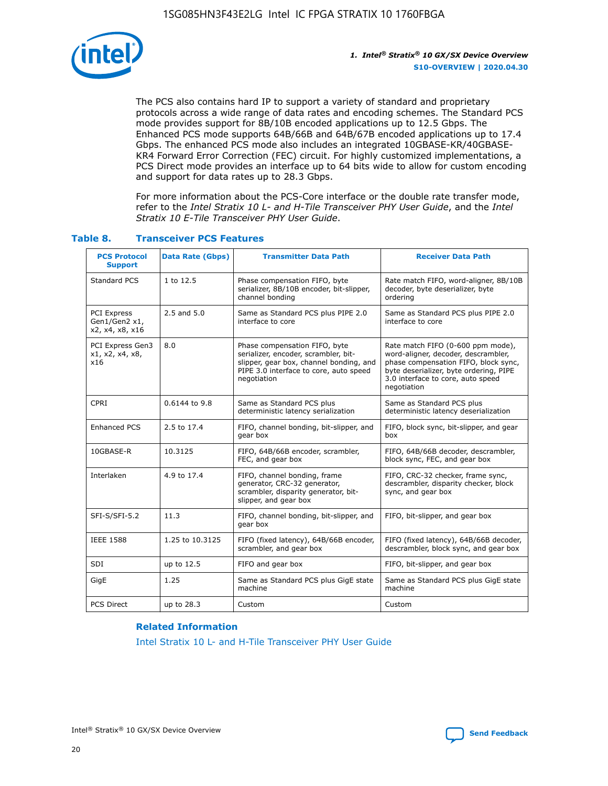

The PCS also contains hard IP to support a variety of standard and proprietary protocols across a wide range of data rates and encoding schemes. The Standard PCS mode provides support for 8B/10B encoded applications up to 12.5 Gbps. The Enhanced PCS mode supports 64B/66B and 64B/67B encoded applications up to 17.4 Gbps. The enhanced PCS mode also includes an integrated 10GBASE-KR/40GBASE-KR4 Forward Error Correction (FEC) circuit. For highly customized implementations, a PCS Direct mode provides an interface up to 64 bits wide to allow for custom encoding and support for data rates up to 28.3 Gbps.

For more information about the PCS-Core interface or the double rate transfer mode, refer to the *Intel Stratix 10 L- and H-Tile Transceiver PHY User Guide*, and the *Intel Stratix 10 E-Tile Transceiver PHY User Guide*.

| <b>PCS Protocol</b><br><b>Support</b>           | Data Rate (Gbps) | <b>Transmitter Data Path</b>                                                                                                                                              | <b>Receiver Data Path</b>                                                                                                                                                                                      |
|-------------------------------------------------|------------------|---------------------------------------------------------------------------------------------------------------------------------------------------------------------------|----------------------------------------------------------------------------------------------------------------------------------------------------------------------------------------------------------------|
| Standard PCS                                    | 1 to 12.5        | Phase compensation FIFO, byte<br>serializer, 8B/10B encoder, bit-slipper,<br>channel bonding                                                                              | Rate match FIFO, word-aligner, 8B/10B<br>decoder, byte deserializer, byte<br>ordering                                                                                                                          |
| PCI Express<br>Gen1/Gen2 x1,<br>x2, x4, x8, x16 | $2.5$ and $5.0$  | Same as Standard PCS plus PIPE 2.0<br>interface to core                                                                                                                   | Same as Standard PCS plus PIPE 2.0<br>interface to core                                                                                                                                                        |
| PCI Express Gen3<br>x1, x2, x4, x8,<br>x16      | 8.0              | Phase compensation FIFO, byte<br>serializer, encoder, scrambler, bit-<br>slipper, gear box, channel bonding, and<br>PIPE 3.0 interface to core, auto speed<br>negotiation | Rate match FIFO (0-600 ppm mode),<br>word-aligner, decoder, descrambler,<br>phase compensation FIFO, block sync,<br>byte deserializer, byte ordering, PIPE<br>3.0 interface to core, auto speed<br>negotiation |
| CPRI                                            | 0.6144 to 9.8    | Same as Standard PCS plus<br>deterministic latency serialization                                                                                                          | Same as Standard PCS plus<br>deterministic latency deserialization                                                                                                                                             |
| <b>Enhanced PCS</b>                             | 2.5 to 17.4      | FIFO, channel bonding, bit-slipper, and<br>gear box                                                                                                                       | FIFO, block sync, bit-slipper, and gear<br>box                                                                                                                                                                 |
| 10GBASE-R                                       | 10.3125          | FIFO, 64B/66B encoder, scrambler,<br>FEC, and gear box                                                                                                                    | FIFO, 64B/66B decoder, descrambler,<br>block sync, FEC, and gear box                                                                                                                                           |
| Interlaken                                      | 4.9 to 17.4      | FIFO, channel bonding, frame<br>generator, CRC-32 generator,<br>scrambler, disparity generator, bit-<br>slipper, and gear box                                             | FIFO, CRC-32 checker, frame sync,<br>descrambler, disparity checker, block<br>sync, and gear box                                                                                                               |
| SFI-S/SFI-5.2                                   | 11.3             | FIFO, channel bonding, bit-slipper, and<br>gear box                                                                                                                       | FIFO, bit-slipper, and gear box                                                                                                                                                                                |
| <b>IEEE 1588</b>                                | 1.25 to 10.3125  | FIFO (fixed latency), 64B/66B encoder,<br>scrambler, and gear box                                                                                                         | FIFO (fixed latency), 64B/66B decoder,<br>descrambler, block sync, and gear box                                                                                                                                |
| SDI                                             | up to 12.5       | FIFO and gear box                                                                                                                                                         | FIFO, bit-slipper, and gear box                                                                                                                                                                                |
| GigE                                            | 1.25             | Same as Standard PCS plus GigE state<br>machine                                                                                                                           | Same as Standard PCS plus GigE state<br>machine                                                                                                                                                                |
| <b>PCS Direct</b>                               | up to 28.3       | Custom                                                                                                                                                                    | Custom                                                                                                                                                                                                         |

#### **Table 8. Transceiver PCS Features**

#### **Related Information**

[Intel Stratix 10 L- and H-Tile Transceiver PHY User Guide](https://www.altera.com/documentation/wry1479165198810.html)

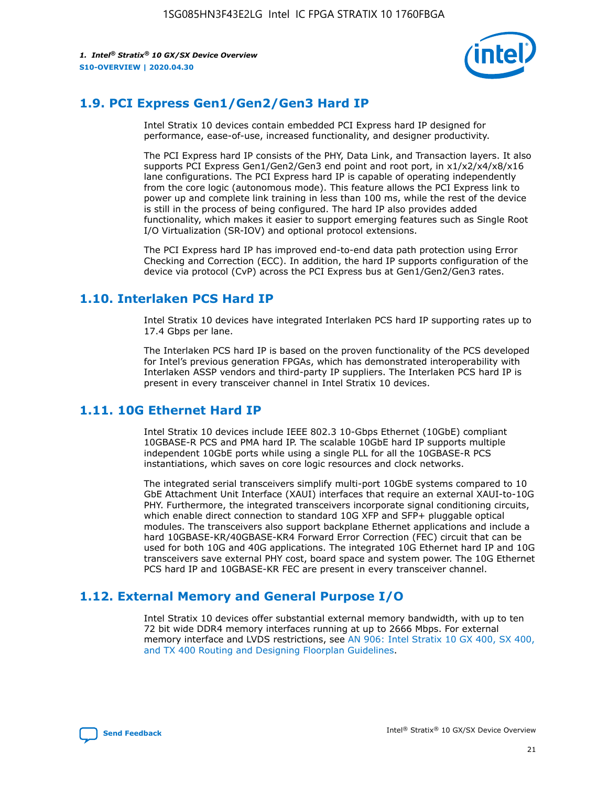

# **1.9. PCI Express Gen1/Gen2/Gen3 Hard IP**

Intel Stratix 10 devices contain embedded PCI Express hard IP designed for performance, ease-of-use, increased functionality, and designer productivity.

The PCI Express hard IP consists of the PHY, Data Link, and Transaction layers. It also supports PCI Express Gen1/Gen2/Gen3 end point and root port, in x1/x2/x4/x8/x16 lane configurations. The PCI Express hard IP is capable of operating independently from the core logic (autonomous mode). This feature allows the PCI Express link to power up and complete link training in less than 100 ms, while the rest of the device is still in the process of being configured. The hard IP also provides added functionality, which makes it easier to support emerging features such as Single Root I/O Virtualization (SR-IOV) and optional protocol extensions.

The PCI Express hard IP has improved end-to-end data path protection using Error Checking and Correction (ECC). In addition, the hard IP supports configuration of the device via protocol (CvP) across the PCI Express bus at Gen1/Gen2/Gen3 rates.

# **1.10. Interlaken PCS Hard IP**

Intel Stratix 10 devices have integrated Interlaken PCS hard IP supporting rates up to 17.4 Gbps per lane.

The Interlaken PCS hard IP is based on the proven functionality of the PCS developed for Intel's previous generation FPGAs, which has demonstrated interoperability with Interlaken ASSP vendors and third-party IP suppliers. The Interlaken PCS hard IP is present in every transceiver channel in Intel Stratix 10 devices.

# **1.11. 10G Ethernet Hard IP**

Intel Stratix 10 devices include IEEE 802.3 10-Gbps Ethernet (10GbE) compliant 10GBASE-R PCS and PMA hard IP. The scalable 10GbE hard IP supports multiple independent 10GbE ports while using a single PLL for all the 10GBASE-R PCS instantiations, which saves on core logic resources and clock networks.

The integrated serial transceivers simplify multi-port 10GbE systems compared to 10 GbE Attachment Unit Interface (XAUI) interfaces that require an external XAUI-to-10G PHY. Furthermore, the integrated transceivers incorporate signal conditioning circuits, which enable direct connection to standard 10G XFP and SFP+ pluggable optical modules. The transceivers also support backplane Ethernet applications and include a hard 10GBASE-KR/40GBASE-KR4 Forward Error Correction (FEC) circuit that can be used for both 10G and 40G applications. The integrated 10G Ethernet hard IP and 10G transceivers save external PHY cost, board space and system power. The 10G Ethernet PCS hard IP and 10GBASE-KR FEC are present in every transceiver channel.

# **1.12. External Memory and General Purpose I/O**

Intel Stratix 10 devices offer substantial external memory bandwidth, with up to ten 72 bit wide DDR4 memory interfaces running at up to 2666 Mbps. For external memory interface and LVDS restrictions, see [AN 906: Intel Stratix 10 GX 400, SX 400,](https://www.intel.com/content/www/us/en/programmable/documentation/sjf1574667190623.html#bft1574667627484) [and TX 400 Routing and Designing Floorplan Guidelines.](https://www.intel.com/content/www/us/en/programmable/documentation/sjf1574667190623.html#bft1574667627484)

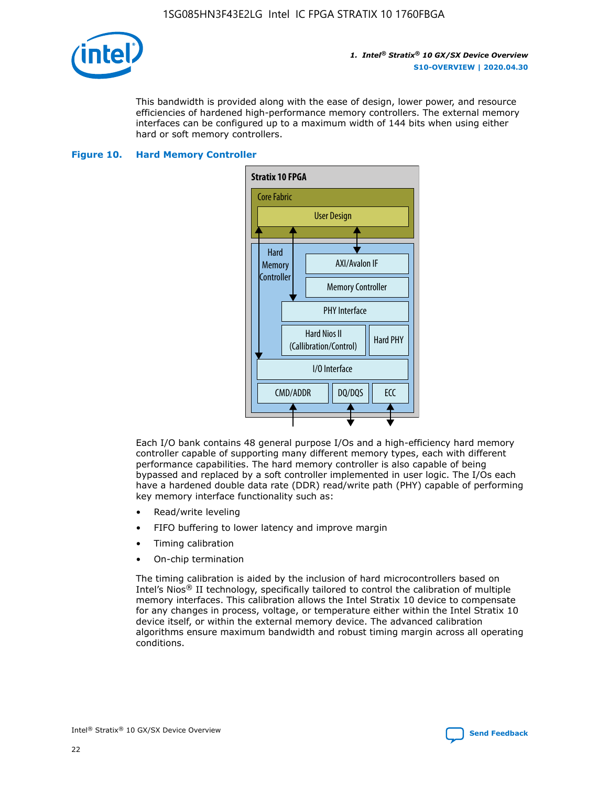

This bandwidth is provided along with the ease of design, lower power, and resource efficiencies of hardened high-performance memory controllers. The external memory interfaces can be configured up to a maximum width of 144 bits when using either hard or soft memory controllers.

#### **Figure 10. Hard Memory Controller**



Each I/O bank contains 48 general purpose I/Os and a high-efficiency hard memory controller capable of supporting many different memory types, each with different performance capabilities. The hard memory controller is also capable of being bypassed and replaced by a soft controller implemented in user logic. The I/Os each have a hardened double data rate (DDR) read/write path (PHY) capable of performing key memory interface functionality such as:

- Read/write leveling
- FIFO buffering to lower latency and improve margin
- Timing calibration
- On-chip termination

The timing calibration is aided by the inclusion of hard microcontrollers based on Intel's Nios® II technology, specifically tailored to control the calibration of multiple memory interfaces. This calibration allows the Intel Stratix 10 device to compensate for any changes in process, voltage, or temperature either within the Intel Stratix 10 device itself, or within the external memory device. The advanced calibration algorithms ensure maximum bandwidth and robust timing margin across all operating conditions.

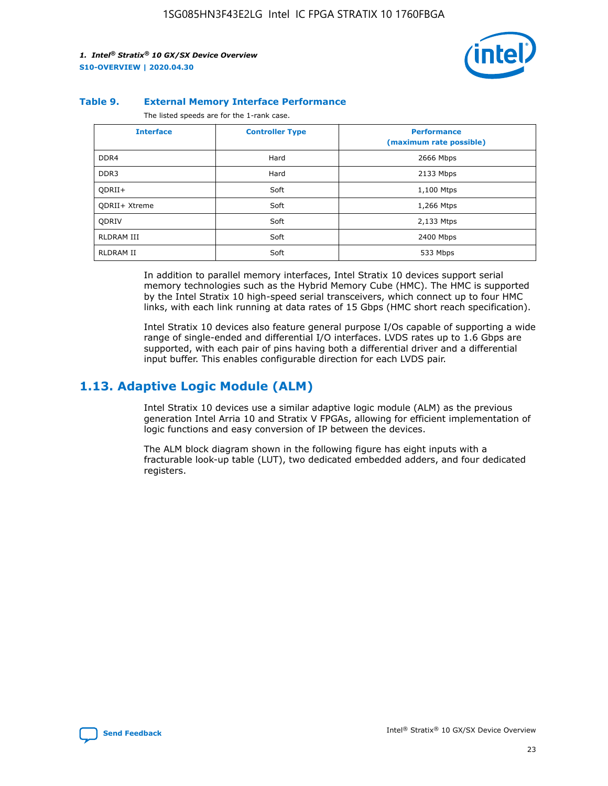

#### **Table 9. External Memory Interface Performance**

The listed speeds are for the 1-rank case.

| <b>Interface</b>     | <b>Controller Type</b> | <b>Performance</b><br>(maximum rate possible) |
|----------------------|------------------------|-----------------------------------------------|
| DDR4                 | Hard                   | 2666 Mbps                                     |
| DDR <sub>3</sub>     | Hard                   | 2133 Mbps                                     |
| QDRII+               | Soft                   | 1,100 Mtps                                    |
| <b>ODRII+ Xtreme</b> | Soft                   | 1,266 Mtps                                    |
| <b>ODRIV</b>         | Soft                   | 2,133 Mtps                                    |
| RLDRAM III           | Soft                   | 2400 Mbps                                     |
| <b>RLDRAM II</b>     | Soft                   | 533 Mbps                                      |

In addition to parallel memory interfaces, Intel Stratix 10 devices support serial memory technologies such as the Hybrid Memory Cube (HMC). The HMC is supported by the Intel Stratix 10 high-speed serial transceivers, which connect up to four HMC links, with each link running at data rates of 15 Gbps (HMC short reach specification).

Intel Stratix 10 devices also feature general purpose I/Os capable of supporting a wide range of single-ended and differential I/O interfaces. LVDS rates up to 1.6 Gbps are supported, with each pair of pins having both a differential driver and a differential input buffer. This enables configurable direction for each LVDS pair.

# **1.13. Adaptive Logic Module (ALM)**

Intel Stratix 10 devices use a similar adaptive logic module (ALM) as the previous generation Intel Arria 10 and Stratix V FPGAs, allowing for efficient implementation of logic functions and easy conversion of IP between the devices.

The ALM block diagram shown in the following figure has eight inputs with a fracturable look-up table (LUT), two dedicated embedded adders, and four dedicated registers.

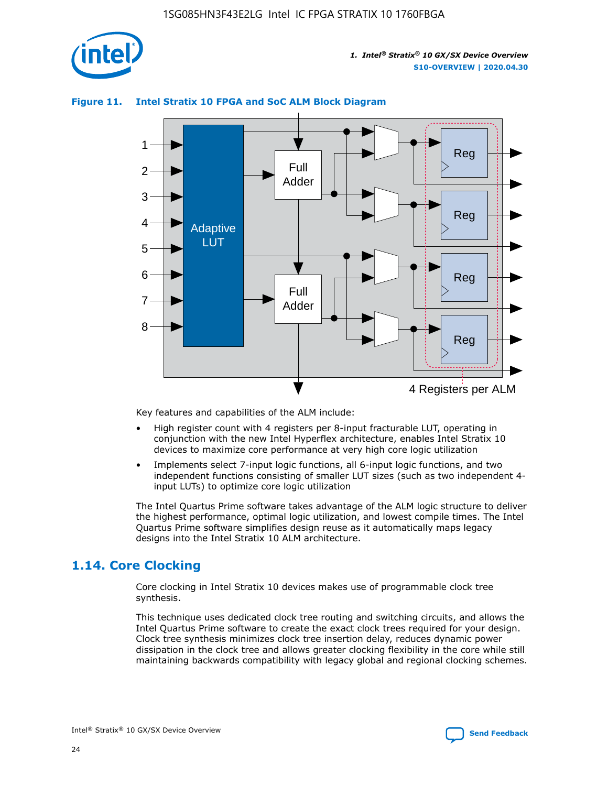

# Reg Reg 1 2 3 4 5 6 7 8 Reg Reg 4 Registers per ALM Full Adder Full Adder Adaptive LUT

#### **Figure 11. Intel Stratix 10 FPGA and SoC ALM Block Diagram**

Key features and capabilities of the ALM include:

- High register count with 4 registers per 8-input fracturable LUT, operating in conjunction with the new Intel Hyperflex architecture, enables Intel Stratix 10 devices to maximize core performance at very high core logic utilization
- Implements select 7-input logic functions, all 6-input logic functions, and two independent functions consisting of smaller LUT sizes (such as two independent 4 input LUTs) to optimize core logic utilization

The Intel Quartus Prime software takes advantage of the ALM logic structure to deliver the highest performance, optimal logic utilization, and lowest compile times. The Intel Quartus Prime software simplifies design reuse as it automatically maps legacy designs into the Intel Stratix 10 ALM architecture.

# **1.14. Core Clocking**

Core clocking in Intel Stratix 10 devices makes use of programmable clock tree synthesis.

This technique uses dedicated clock tree routing and switching circuits, and allows the Intel Quartus Prime software to create the exact clock trees required for your design. Clock tree synthesis minimizes clock tree insertion delay, reduces dynamic power dissipation in the clock tree and allows greater clocking flexibility in the core while still maintaining backwards compatibility with legacy global and regional clocking schemes.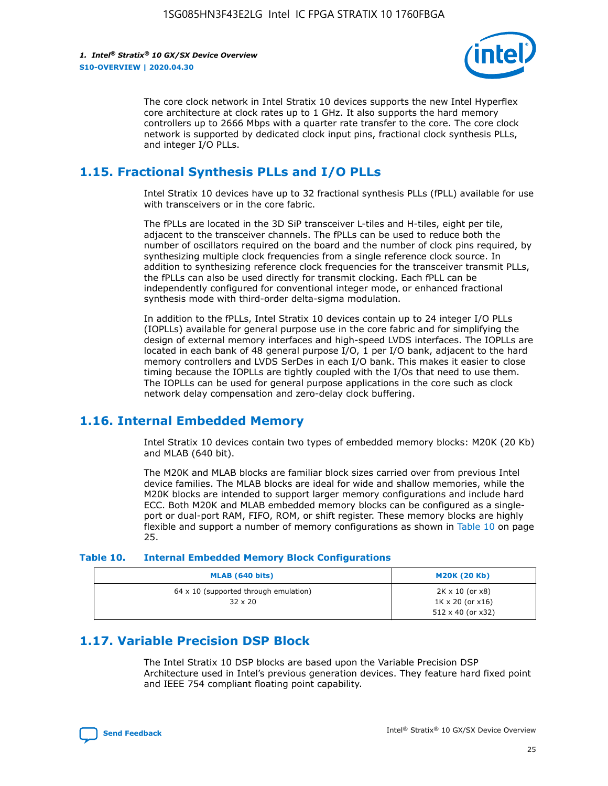

The core clock network in Intel Stratix 10 devices supports the new Intel Hyperflex core architecture at clock rates up to 1 GHz. It also supports the hard memory controllers up to 2666 Mbps with a quarter rate transfer to the core. The core clock network is supported by dedicated clock input pins, fractional clock synthesis PLLs, and integer I/O PLLs.

# **1.15. Fractional Synthesis PLLs and I/O PLLs**

Intel Stratix 10 devices have up to 32 fractional synthesis PLLs (fPLL) available for use with transceivers or in the core fabric.

The fPLLs are located in the 3D SiP transceiver L-tiles and H-tiles, eight per tile, adjacent to the transceiver channels. The fPLLs can be used to reduce both the number of oscillators required on the board and the number of clock pins required, by synthesizing multiple clock frequencies from a single reference clock source. In addition to synthesizing reference clock frequencies for the transceiver transmit PLLs, the fPLLs can also be used directly for transmit clocking. Each fPLL can be independently configured for conventional integer mode, or enhanced fractional synthesis mode with third-order delta-sigma modulation.

In addition to the fPLLs, Intel Stratix 10 devices contain up to 24 integer I/O PLLs (IOPLLs) available for general purpose use in the core fabric and for simplifying the design of external memory interfaces and high-speed LVDS interfaces. The IOPLLs are located in each bank of 48 general purpose I/O, 1 per I/O bank, adjacent to the hard memory controllers and LVDS SerDes in each I/O bank. This makes it easier to close timing because the IOPLLs are tightly coupled with the I/Os that need to use them. The IOPLLs can be used for general purpose applications in the core such as clock network delay compensation and zero-delay clock buffering.

# **1.16. Internal Embedded Memory**

Intel Stratix 10 devices contain two types of embedded memory blocks: M20K (20 Kb) and MLAB (640 bit).

The M20K and MLAB blocks are familiar block sizes carried over from previous Intel device families. The MLAB blocks are ideal for wide and shallow memories, while the M20K blocks are intended to support larger memory configurations and include hard ECC. Both M20K and MLAB embedded memory blocks can be configured as a singleport or dual-port RAM, FIFO, ROM, or shift register. These memory blocks are highly flexible and support a number of memory configurations as shown in Table 10 on page 25.

#### **Table 10. Internal Embedded Memory Block Configurations**

| MLAB (640 bits)                                                | <b>M20K (20 Kb)</b>                                                                    |
|----------------------------------------------------------------|----------------------------------------------------------------------------------------|
| $64 \times 10$ (supported through emulation)<br>$32 \times 20$ | $2K \times 10$ (or $x8$ )<br>$1K \times 20$ (or $x16$ )<br>$512 \times 40$ (or $x32$ ) |

# **1.17. Variable Precision DSP Block**

The Intel Stratix 10 DSP blocks are based upon the Variable Precision DSP Architecture used in Intel's previous generation devices. They feature hard fixed point and IEEE 754 compliant floating point capability.

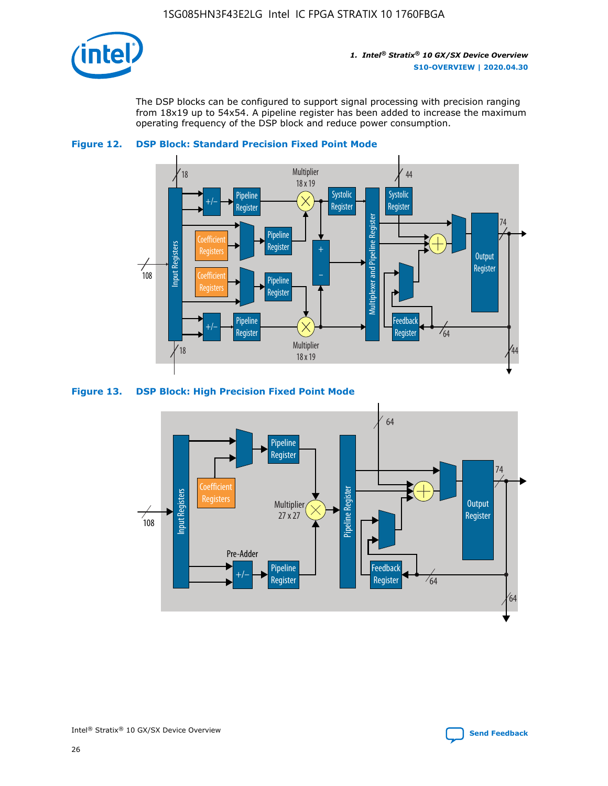

The DSP blocks can be configured to support signal processing with precision ranging from 18x19 up to 54x54. A pipeline register has been added to increase the maximum operating frequency of the DSP block and reduce power consumption.





#### **Figure 13. DSP Block: High Precision Fixed Point Mode**

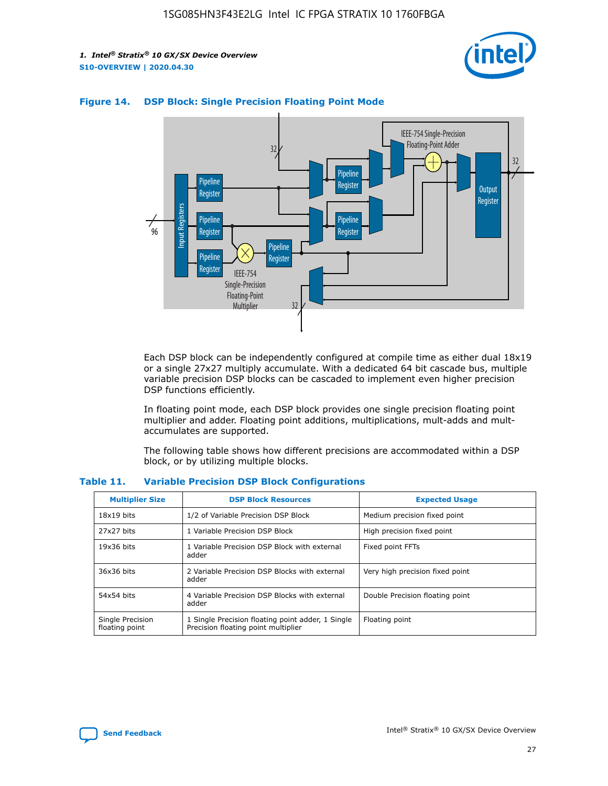



#### **Figure 14. DSP Block: Single Precision Floating Point Mode**

Each DSP block can be independently configured at compile time as either dual 18x19 or a single 27x27 multiply accumulate. With a dedicated 64 bit cascade bus, multiple variable precision DSP blocks can be cascaded to implement even higher precision DSP functions efficiently.

In floating point mode, each DSP block provides one single precision floating point multiplier and adder. Floating point additions, multiplications, mult-adds and multaccumulates are supported.

The following table shows how different precisions are accommodated within a DSP block, or by utilizing multiple blocks.

| <b>Multiplier Size</b>             | <b>DSP Block Resources</b>                                                               | <b>Expected Usage</b>           |
|------------------------------------|------------------------------------------------------------------------------------------|---------------------------------|
| $18x19$ bits                       | 1/2 of Variable Precision DSP Block                                                      | Medium precision fixed point    |
| 27x27 bits                         | 1 Variable Precision DSP Block                                                           | High precision fixed point      |
| $19x36$ bits                       | 1 Variable Precision DSP Block with external<br>adder                                    | Fixed point FFTs                |
| 36x36 bits                         | 2 Variable Precision DSP Blocks with external<br>adder                                   | Very high precision fixed point |
| 54x54 bits                         | 4 Variable Precision DSP Blocks with external<br>adder                                   | Double Precision floating point |
| Single Precision<br>floating point | 1 Single Precision floating point adder, 1 Single<br>Precision floating point multiplier | Floating point                  |

#### **Table 11. Variable Precision DSP Block Configurations**

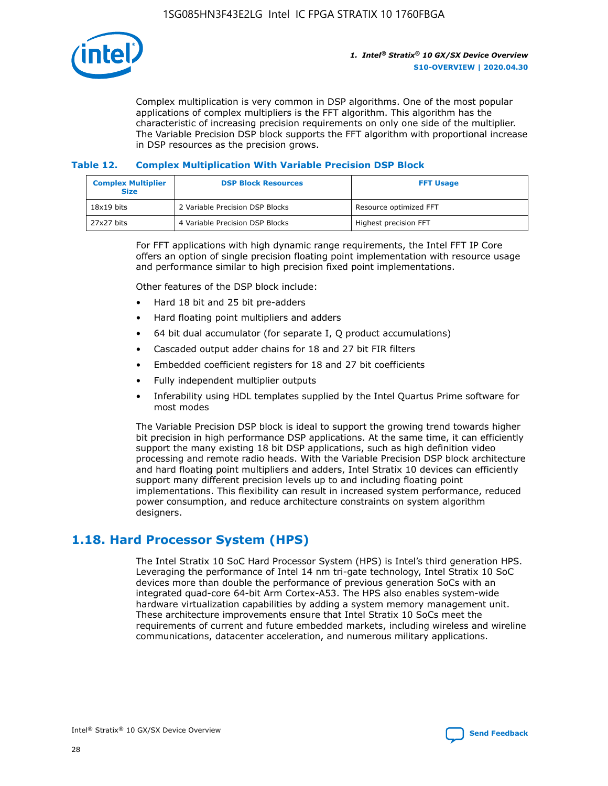

Complex multiplication is very common in DSP algorithms. One of the most popular applications of complex multipliers is the FFT algorithm. This algorithm has the characteristic of increasing precision requirements on only one side of the multiplier. The Variable Precision DSP block supports the FFT algorithm with proportional increase in DSP resources as the precision grows.

#### **Table 12. Complex Multiplication With Variable Precision DSP Block**

| <b>Complex Multiplier</b><br><b>Size</b> | <b>DSP Block Resources</b>      | <b>FFT Usage</b>       |
|------------------------------------------|---------------------------------|------------------------|
| $18x19$ bits                             | 2 Variable Precision DSP Blocks | Resource optimized FFT |
| 27x27 bits                               | 4 Variable Precision DSP Blocks | Highest precision FFT  |

For FFT applications with high dynamic range requirements, the Intel FFT IP Core offers an option of single precision floating point implementation with resource usage and performance similar to high precision fixed point implementations.

Other features of the DSP block include:

- Hard 18 bit and 25 bit pre-adders
- Hard floating point multipliers and adders
- 64 bit dual accumulator (for separate I, Q product accumulations)
- Cascaded output adder chains for 18 and 27 bit FIR filters
- Embedded coefficient registers for 18 and 27 bit coefficients
- Fully independent multiplier outputs
- Inferability using HDL templates supplied by the Intel Quartus Prime software for most modes

The Variable Precision DSP block is ideal to support the growing trend towards higher bit precision in high performance DSP applications. At the same time, it can efficiently support the many existing 18 bit DSP applications, such as high definition video processing and remote radio heads. With the Variable Precision DSP block architecture and hard floating point multipliers and adders, Intel Stratix 10 devices can efficiently support many different precision levels up to and including floating point implementations. This flexibility can result in increased system performance, reduced power consumption, and reduce architecture constraints on system algorithm designers.

# **1.18. Hard Processor System (HPS)**

The Intel Stratix 10 SoC Hard Processor System (HPS) is Intel's third generation HPS. Leveraging the performance of Intel 14 nm tri-gate technology, Intel Stratix 10 SoC devices more than double the performance of previous generation SoCs with an integrated quad-core 64-bit Arm Cortex-A53. The HPS also enables system-wide hardware virtualization capabilities by adding a system memory management unit. These architecture improvements ensure that Intel Stratix 10 SoCs meet the requirements of current and future embedded markets, including wireless and wireline communications, datacenter acceleration, and numerous military applications.

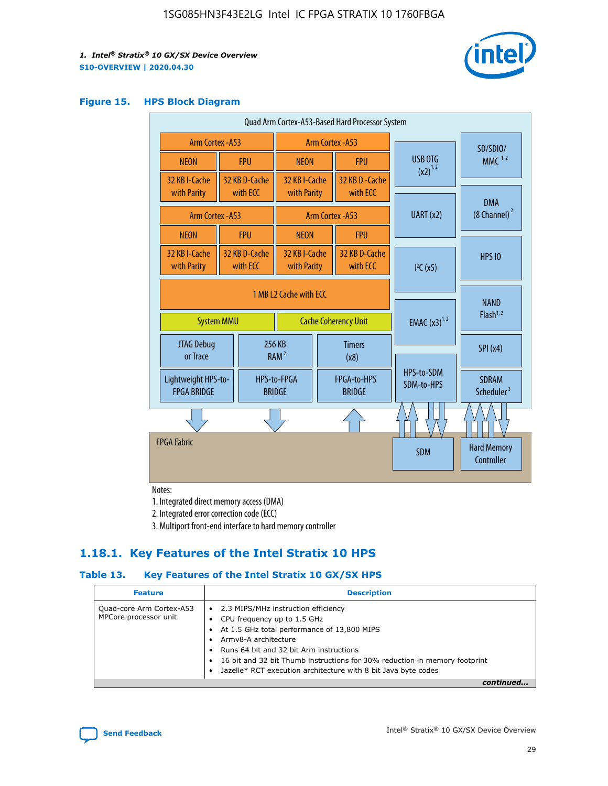

#### **Figure 15. HPS Block Diagram**

| Quad Arm Cortex-A53-Based Hard Processor System                            |                                             |                           |                              |                                     |                              |                          |                                         |
|----------------------------------------------------------------------------|---------------------------------------------|---------------------------|------------------------------|-------------------------------------|------------------------------|--------------------------|-----------------------------------------|
|                                                                            | <b>Arm Cortex - A53</b><br>Arm Cortex - A53 |                           |                              |                                     | SD/SDIO/                     |                          |                                         |
| <b>NEON</b>                                                                |                                             | <b>FPU</b>                | <b>NEON</b>                  |                                     | <b>FPU</b>                   | USB OTG                  | $MMC$ <sup>1,2</sup>                    |
| 32 KB I-Cache                                                              |                                             | 32 KB D-Cache<br>with ECC | 32 KB I-Cache                |                                     | 32 KB D - Cache<br>with ECC  | $(x2)^{1,2}$             |                                         |
| with Parity                                                                |                                             |                           | with Parity                  |                                     |                              |                          | <b>DMA</b>                              |
| Arm Cortex - A53                                                           |                                             |                           |                              | Arm Cortex - A53                    |                              | UART (x2)                | $(8$ Channel) $^2$                      |
| <b>NEON</b>                                                                |                                             | <b>FPU</b>                | <b>NEON</b>                  |                                     | <b>FPU</b>                   |                          |                                         |
| 32 KB I-Cache<br>with Parity                                               |                                             | 32 KB D-Cache<br>with ECC | 32 KB I-Cache<br>with Parity |                                     | 32 KB D-Cache<br>with ECC    | I <sup>2</sup> C(x5)     | <b>HPS 10</b>                           |
| 1 MB L2 Cache with ECC<br><b>System MMU</b><br><b>Cache Coherency Unit</b> |                                             |                           | <b>EMAC</b> $(x3)^{1,2}$     | <b>NAND</b><br>Flash <sup>1,2</sup> |                              |                          |                                         |
| JTAG Debug<br>or Trace                                                     |                                             |                           | 256 KB<br>RAM <sup>2</sup>   |                                     | <b>Timers</b><br>(x8)        |                          | SPI(x4)                                 |
| Lightweight HPS-to-<br><b>FPGA BRIDGE</b>                                  |                                             |                           | HPS-to-FPGA<br><b>BRIDGE</b> |                                     | FPGA-to-HPS<br><b>BRIDGE</b> | HPS-to-SDM<br>SDM-to-HPS | <b>SDRAM</b><br>Scheduler <sup>3</sup>  |
|                                                                            |                                             |                           |                              |                                     |                              |                          |                                         |
| <b>FPGA Fabric</b>                                                         |                                             |                           |                              |                                     |                              | <b>SDM</b>               | <b>Hard Memory</b><br><b>Controller</b> |

Notes:

1. Integrated direct memory access (DMA)

2. Integrated error correction code (ECC)

3. Multiport front-end interface to hard memory controller

### **1.18.1. Key Features of the Intel Stratix 10 HPS**

#### **Table 13. Key Features of the Intel Stratix 10 GX/SX HPS**

| <b>Feature</b>                                    | <b>Description</b>                                                                                                                                                                                                                                                                                                                                     |
|---------------------------------------------------|--------------------------------------------------------------------------------------------------------------------------------------------------------------------------------------------------------------------------------------------------------------------------------------------------------------------------------------------------------|
| Quad-core Arm Cortex-A53<br>MPCore processor unit | 2.3 MIPS/MHz instruction efficiency<br>$\bullet$<br>CPU frequency up to 1.5 GHz<br>٠<br>At 1.5 GHz total performance of 13,800 MIPS<br>Army8-A architecture<br>Runs 64 bit and 32 bit Arm instructions<br>16 bit and 32 bit Thumb instructions for 30% reduction in memory footprint<br>Jazelle* RCT execution architecture with 8 bit Java byte codes |
|                                                   |                                                                                                                                                                                                                                                                                                                                                        |

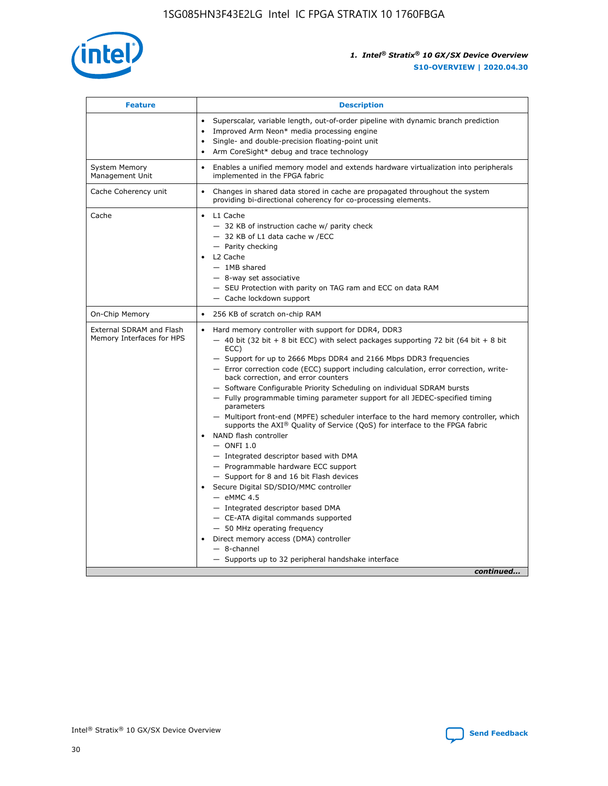

| <b>Feature</b>                                        | <b>Description</b>                                                                                                                                                                                                                                                                                                                                                                                                                                                                                                                                                                                                                                                                                                                                                                                                                                                                                                                                                                                                                                                                                                                                                                                               |
|-------------------------------------------------------|------------------------------------------------------------------------------------------------------------------------------------------------------------------------------------------------------------------------------------------------------------------------------------------------------------------------------------------------------------------------------------------------------------------------------------------------------------------------------------------------------------------------------------------------------------------------------------------------------------------------------------------------------------------------------------------------------------------------------------------------------------------------------------------------------------------------------------------------------------------------------------------------------------------------------------------------------------------------------------------------------------------------------------------------------------------------------------------------------------------------------------------------------------------------------------------------------------------|
|                                                       | Superscalar, variable length, out-of-order pipeline with dynamic branch prediction<br>Improved Arm Neon* media processing engine<br>Single- and double-precision floating-point unit<br>Arm CoreSight* debug and trace technology<br>$\bullet$                                                                                                                                                                                                                                                                                                                                                                                                                                                                                                                                                                                                                                                                                                                                                                                                                                                                                                                                                                   |
| <b>System Memory</b><br>Management Unit               | Enables a unified memory model and extends hardware virtualization into peripherals<br>implemented in the FPGA fabric                                                                                                                                                                                                                                                                                                                                                                                                                                                                                                                                                                                                                                                                                                                                                                                                                                                                                                                                                                                                                                                                                            |
| Cache Coherency unit                                  | Changes in shared data stored in cache are propagated throughout the system<br>$\bullet$<br>providing bi-directional coherency for co-processing elements.                                                                                                                                                                                                                                                                                                                                                                                                                                                                                                                                                                                                                                                                                                                                                                                                                                                                                                                                                                                                                                                       |
| Cache                                                 | L1 Cache<br>$\bullet$<br>- 32 KB of instruction cache w/ parity check<br>- 32 KB of L1 data cache w /ECC<br>- Parity checking<br>L <sub>2</sub> Cache<br>$-$ 1MB shared<br>$-$ 8-way set associative<br>- SEU Protection with parity on TAG ram and ECC on data RAM<br>- Cache lockdown support                                                                                                                                                                                                                                                                                                                                                                                                                                                                                                                                                                                                                                                                                                                                                                                                                                                                                                                  |
| On-Chip Memory                                        | 256 KB of scratch on-chip RAM                                                                                                                                                                                                                                                                                                                                                                                                                                                                                                                                                                                                                                                                                                                                                                                                                                                                                                                                                                                                                                                                                                                                                                                    |
| External SDRAM and Flash<br>Memory Interfaces for HPS | Hard memory controller with support for DDR4, DDR3<br>$\bullet$<br>$-$ 40 bit (32 bit + 8 bit ECC) with select packages supporting 72 bit (64 bit + 8 bit<br>ECC)<br>- Support for up to 2666 Mbps DDR4 and 2166 Mbps DDR3 frequencies<br>- Error correction code (ECC) support including calculation, error correction, write-<br>back correction, and error counters<br>- Software Configurable Priority Scheduling on individual SDRAM bursts<br>- Fully programmable timing parameter support for all JEDEC-specified timing<br>parameters<br>- Multiport front-end (MPFE) scheduler interface to the hard memory controller, which<br>supports the $AXI^{\circledR}$ Quality of Service (QoS) for interface to the FPGA fabric<br>NAND flash controller<br>$-$ ONFI 1.0<br>- Integrated descriptor based with DMA<br>- Programmable hardware ECC support<br>- Support for 8 and 16 bit Flash devices<br>Secure Digital SD/SDIO/MMC controller<br>$-$ eMMC 4.5<br>- Integrated descriptor based DMA<br>- CE-ATA digital commands supported<br>- 50 MHz operating frequency<br>Direct memory access (DMA) controller<br>٠<br>$-$ 8-channel<br>- Supports up to 32 peripheral handshake interface<br>continued |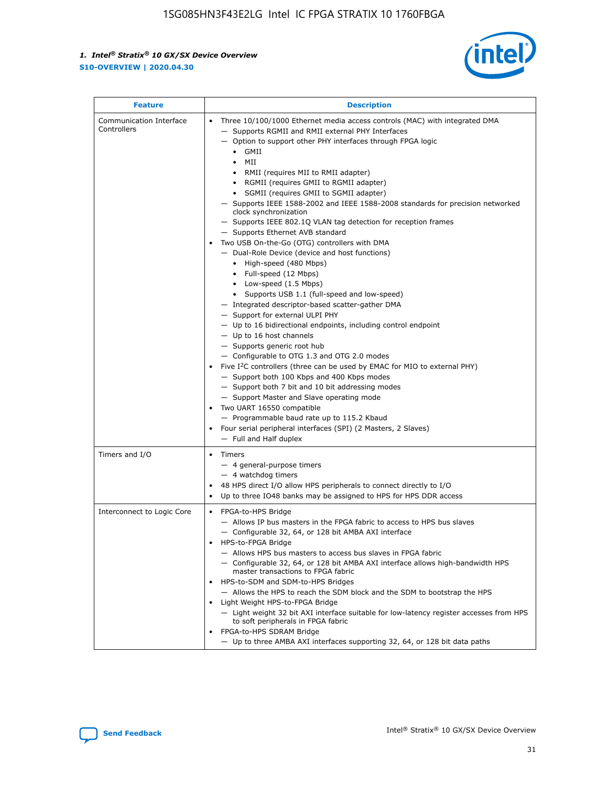

| <b>Feature</b>                         | <b>Description</b>                                                                                                                                                                                                                                                                                                                                                                                                                                                                                                                                                                                                                                                                                                                                                                                                                                                                                                                                                                                                                                                                                                                                                                                                                                                                                                                                                                                                                                                                           |  |  |  |
|----------------------------------------|----------------------------------------------------------------------------------------------------------------------------------------------------------------------------------------------------------------------------------------------------------------------------------------------------------------------------------------------------------------------------------------------------------------------------------------------------------------------------------------------------------------------------------------------------------------------------------------------------------------------------------------------------------------------------------------------------------------------------------------------------------------------------------------------------------------------------------------------------------------------------------------------------------------------------------------------------------------------------------------------------------------------------------------------------------------------------------------------------------------------------------------------------------------------------------------------------------------------------------------------------------------------------------------------------------------------------------------------------------------------------------------------------------------------------------------------------------------------------------------------|--|--|--|
| Communication Interface<br>Controllers | Three 10/100/1000 Ethernet media access controls (MAC) with integrated DMA<br>- Supports RGMII and RMII external PHY Interfaces<br>- Option to support other PHY interfaces through FPGA logic<br>$\bullet$ GMII<br>MII<br>$\bullet$<br>RMII (requires MII to RMII adapter)<br>• RGMII (requires GMII to RGMII adapter)<br>SGMII (requires GMII to SGMII adapter)<br>- Supports IEEE 1588-2002 and IEEE 1588-2008 standards for precision networked<br>clock synchronization<br>- Supports IEEE 802.1Q VLAN tag detection for reception frames<br>- Supports Ethernet AVB standard<br>Two USB On-the-Go (OTG) controllers with DMA<br>- Dual-Role Device (device and host functions)<br>• High-speed (480 Mbps)<br>• Full-speed (12 Mbps)<br>• Low-speed (1.5 Mbps)<br>• Supports USB 1.1 (full-speed and low-speed)<br>- Integrated descriptor-based scatter-gather DMA<br>- Support for external ULPI PHY<br>- Up to 16 bidirectional endpoints, including control endpoint<br>$-$ Up to 16 host channels<br>- Supports generic root hub<br>- Configurable to OTG 1.3 and OTG 2.0 modes<br>Five $I2C$ controllers (three can be used by EMAC for MIO to external PHY)<br>- Support both 100 Kbps and 400 Kbps modes<br>- Support both 7 bit and 10 bit addressing modes<br>- Support Master and Slave operating mode<br>Two UART 16550 compatible<br>- Programmable baud rate up to 115.2 Kbaud<br>Four serial peripheral interfaces (SPI) (2 Masters, 2 Slaves)<br>- Full and Half duplex |  |  |  |
| Timers and I/O                         | Timers<br>- 4 general-purpose timers<br>$-4$ watchdog timers<br>48 HPS direct I/O allow HPS peripherals to connect directly to I/O<br>Up to three IO48 banks may be assigned to HPS for HPS DDR access                                                                                                                                                                                                                                                                                                                                                                                                                                                                                                                                                                                                                                                                                                                                                                                                                                                                                                                                                                                                                                                                                                                                                                                                                                                                                       |  |  |  |
| Interconnect to Logic Core             | • FPGA-to-HPS Bridge<br>- Allows IP bus masters in the FPGA fabric to access to HPS bus slaves<br>- Configurable 32, 64, or 128 bit AMBA AXI interface<br>HPS-to-FPGA Bridge<br>- Allows HPS bus masters to access bus slaves in FPGA fabric<br>- Configurable 32, 64, or 128 bit AMBA AXI interface allows high-bandwidth HPS<br>master transactions to FPGA fabric<br>HPS-to-SDM and SDM-to-HPS Bridges<br>- Allows the HPS to reach the SDM block and the SDM to bootstrap the HPS<br>Light Weight HPS-to-FPGA Bridge<br>- Light weight 32 bit AXI interface suitable for low-latency register accesses from HPS<br>to soft peripherals in FPGA fabric<br>FPGA-to-HPS SDRAM Bridge<br>- Up to three AMBA AXI interfaces supporting 32, 64, or 128 bit data paths                                                                                                                                                                                                                                                                                                                                                                                                                                                                                                                                                                                                                                                                                                                          |  |  |  |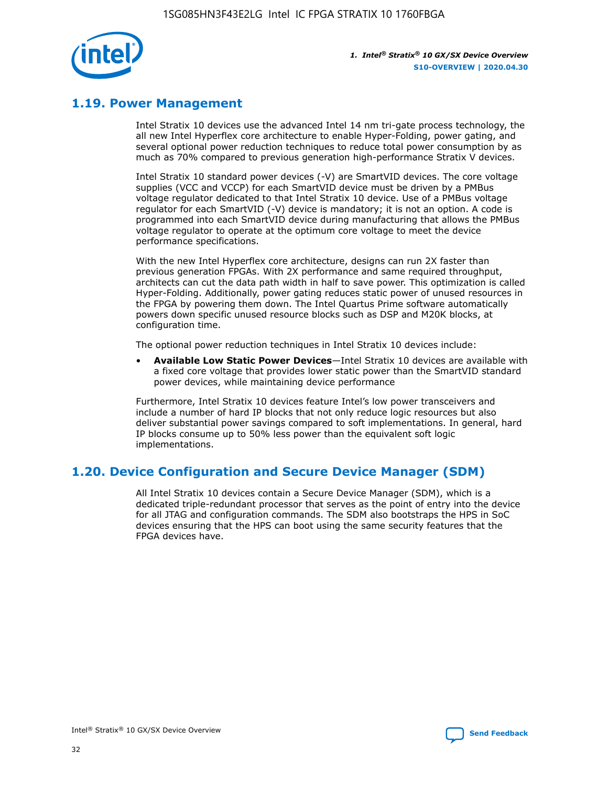

# **1.19. Power Management**

Intel Stratix 10 devices use the advanced Intel 14 nm tri-gate process technology, the all new Intel Hyperflex core architecture to enable Hyper-Folding, power gating, and several optional power reduction techniques to reduce total power consumption by as much as 70% compared to previous generation high-performance Stratix V devices.

Intel Stratix 10 standard power devices (-V) are SmartVID devices. The core voltage supplies (VCC and VCCP) for each SmartVID device must be driven by a PMBus voltage regulator dedicated to that Intel Stratix 10 device. Use of a PMBus voltage regulator for each SmartVID (-V) device is mandatory; it is not an option. A code is programmed into each SmartVID device during manufacturing that allows the PMBus voltage regulator to operate at the optimum core voltage to meet the device performance specifications.

With the new Intel Hyperflex core architecture, designs can run 2X faster than previous generation FPGAs. With 2X performance and same required throughput, architects can cut the data path width in half to save power. This optimization is called Hyper-Folding. Additionally, power gating reduces static power of unused resources in the FPGA by powering them down. The Intel Quartus Prime software automatically powers down specific unused resource blocks such as DSP and M20K blocks, at configuration time.

The optional power reduction techniques in Intel Stratix 10 devices include:

• **Available Low Static Power Devices**—Intel Stratix 10 devices are available with a fixed core voltage that provides lower static power than the SmartVID standard power devices, while maintaining device performance

Furthermore, Intel Stratix 10 devices feature Intel's low power transceivers and include a number of hard IP blocks that not only reduce logic resources but also deliver substantial power savings compared to soft implementations. In general, hard IP blocks consume up to 50% less power than the equivalent soft logic implementations.

# **1.20. Device Configuration and Secure Device Manager (SDM)**

All Intel Stratix 10 devices contain a Secure Device Manager (SDM), which is a dedicated triple-redundant processor that serves as the point of entry into the device for all JTAG and configuration commands. The SDM also bootstraps the HPS in SoC devices ensuring that the HPS can boot using the same security features that the FPGA devices have.

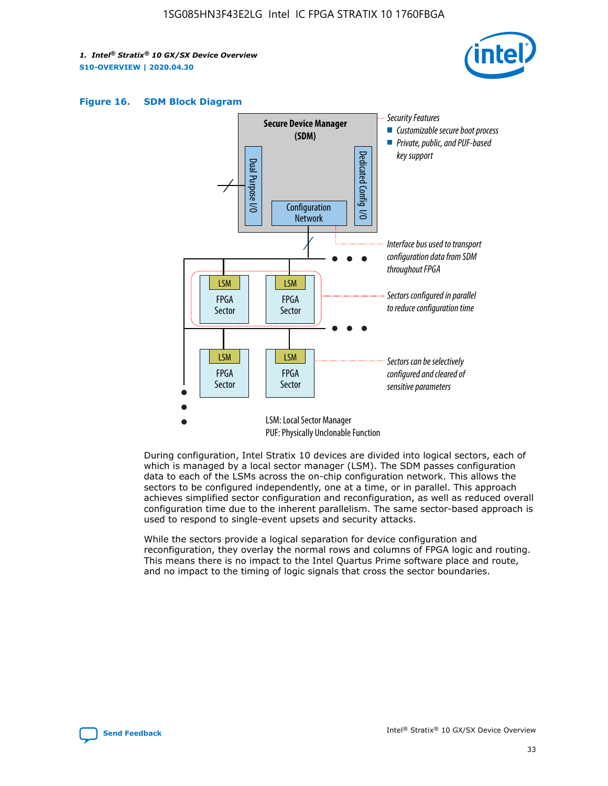





During configuration, Intel Stratix 10 devices are divided into logical sectors, each of which is managed by a local sector manager (LSM). The SDM passes configuration data to each of the LSMs across the on-chip configuration network. This allows the sectors to be configured independently, one at a time, or in parallel. This approach achieves simplified sector configuration and reconfiguration, as well as reduced overall configuration time due to the inherent parallelism. The same sector-based approach is used to respond to single-event upsets and security attacks.

While the sectors provide a logical separation for device configuration and reconfiguration, they overlay the normal rows and columns of FPGA logic and routing. This means there is no impact to the Intel Quartus Prime software place and route, and no impact to the timing of logic signals that cross the sector boundaries.

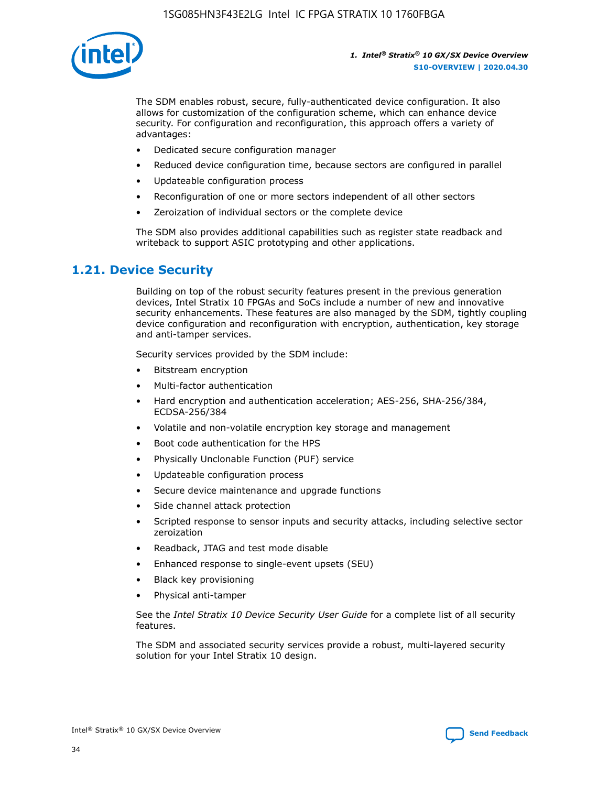

The SDM enables robust, secure, fully-authenticated device configuration. It also allows for customization of the configuration scheme, which can enhance device security. For configuration and reconfiguration, this approach offers a variety of advantages:

- Dedicated secure configuration manager
- Reduced device configuration time, because sectors are configured in parallel
- Updateable configuration process
- Reconfiguration of one or more sectors independent of all other sectors
- Zeroization of individual sectors or the complete device

The SDM also provides additional capabilities such as register state readback and writeback to support ASIC prototyping and other applications.

### **1.21. Device Security**

Building on top of the robust security features present in the previous generation devices, Intel Stratix 10 FPGAs and SoCs include a number of new and innovative security enhancements. These features are also managed by the SDM, tightly coupling device configuration and reconfiguration with encryption, authentication, key storage and anti-tamper services.

Security services provided by the SDM include:

- Bitstream encryption
- Multi-factor authentication
- Hard encryption and authentication acceleration; AES-256, SHA-256/384, ECDSA-256/384
- Volatile and non-volatile encryption key storage and management
- Boot code authentication for the HPS
- Physically Unclonable Function (PUF) service
- Updateable configuration process
- Secure device maintenance and upgrade functions
- Side channel attack protection
- Scripted response to sensor inputs and security attacks, including selective sector zeroization
- Readback, JTAG and test mode disable
- Enhanced response to single-event upsets (SEU)
- Black key provisioning
- Physical anti-tamper

See the *Intel Stratix 10 Device Security User Guide* for a complete list of all security features.

The SDM and associated security services provide a robust, multi-layered security solution for your Intel Stratix 10 design.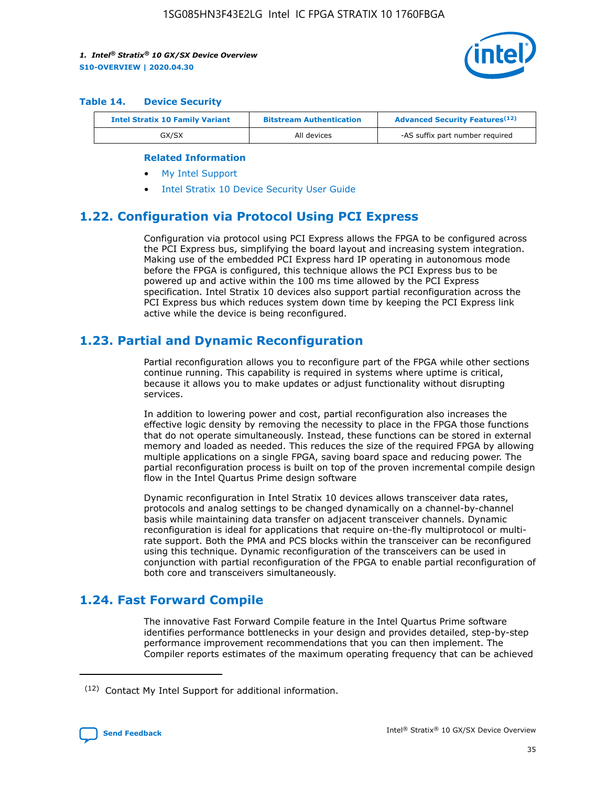

#### **Table 14. Device Security**

| <b>Intel Stratix 10 Family Variant</b> | <b>Bitstream Authentication</b> | <b>Advanced Security Features</b> <sup>(12)</sup> |
|----------------------------------------|---------------------------------|---------------------------------------------------|
| GX/SX                                  | All devices                     | -AS suffix part number required                   |

#### **Related Information**

- [My Intel Support](https://www.intel.com/content/www/us/en/programmable/my-intel/mal-home.html)
- [Intel Stratix 10 Device Security User Guide](https://www.intel.com/content/www/us/en/programmable/documentation/ndq1483601370898.html#wcd1483611014402)

### **1.22. Configuration via Protocol Using PCI Express**

Configuration via protocol using PCI Express allows the FPGA to be configured across the PCI Express bus, simplifying the board layout and increasing system integration. Making use of the embedded PCI Express hard IP operating in autonomous mode before the FPGA is configured, this technique allows the PCI Express bus to be powered up and active within the 100 ms time allowed by the PCI Express specification. Intel Stratix 10 devices also support partial reconfiguration across the PCI Express bus which reduces system down time by keeping the PCI Express link active while the device is being reconfigured.

### **1.23. Partial and Dynamic Reconfiguration**

Partial reconfiguration allows you to reconfigure part of the FPGA while other sections continue running. This capability is required in systems where uptime is critical, because it allows you to make updates or adjust functionality without disrupting services.

In addition to lowering power and cost, partial reconfiguration also increases the effective logic density by removing the necessity to place in the FPGA those functions that do not operate simultaneously. Instead, these functions can be stored in external memory and loaded as needed. This reduces the size of the required FPGA by allowing multiple applications on a single FPGA, saving board space and reducing power. The partial reconfiguration process is built on top of the proven incremental compile design flow in the Intel Quartus Prime design software

Dynamic reconfiguration in Intel Stratix 10 devices allows transceiver data rates, protocols and analog settings to be changed dynamically on a channel-by-channel basis while maintaining data transfer on adjacent transceiver channels. Dynamic reconfiguration is ideal for applications that require on-the-fly multiprotocol or multirate support. Both the PMA and PCS blocks within the transceiver can be reconfigured using this technique. Dynamic reconfiguration of the transceivers can be used in conjunction with partial reconfiguration of the FPGA to enable partial reconfiguration of both core and transceivers simultaneously.

# **1.24. Fast Forward Compile**

The innovative Fast Forward Compile feature in the Intel Quartus Prime software identifies performance bottlenecks in your design and provides detailed, step-by-step performance improvement recommendations that you can then implement. The Compiler reports estimates of the maximum operating frequency that can be achieved

<sup>(12)</sup> Contact My Intel Support for additional information.

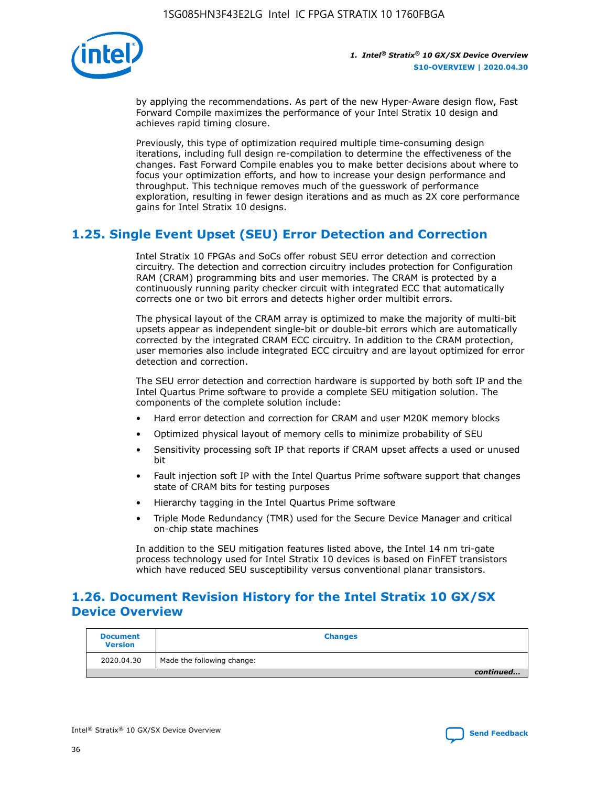

by applying the recommendations. As part of the new Hyper-Aware design flow, Fast Forward Compile maximizes the performance of your Intel Stratix 10 design and achieves rapid timing closure.

Previously, this type of optimization required multiple time-consuming design iterations, including full design re-compilation to determine the effectiveness of the changes. Fast Forward Compile enables you to make better decisions about where to focus your optimization efforts, and how to increase your design performance and throughput. This technique removes much of the guesswork of performance exploration, resulting in fewer design iterations and as much as 2X core performance gains for Intel Stratix 10 designs.

# **1.25. Single Event Upset (SEU) Error Detection and Correction**

Intel Stratix 10 FPGAs and SoCs offer robust SEU error detection and correction circuitry. The detection and correction circuitry includes protection for Configuration RAM (CRAM) programming bits and user memories. The CRAM is protected by a continuously running parity checker circuit with integrated ECC that automatically corrects one or two bit errors and detects higher order multibit errors.

The physical layout of the CRAM array is optimized to make the majority of multi-bit upsets appear as independent single-bit or double-bit errors which are automatically corrected by the integrated CRAM ECC circuitry. In addition to the CRAM protection, user memories also include integrated ECC circuitry and are layout optimized for error detection and correction.

The SEU error detection and correction hardware is supported by both soft IP and the Intel Quartus Prime software to provide a complete SEU mitigation solution. The components of the complete solution include:

- Hard error detection and correction for CRAM and user M20K memory blocks
- Optimized physical layout of memory cells to minimize probability of SEU
- Sensitivity processing soft IP that reports if CRAM upset affects a used or unused bit
- Fault injection soft IP with the Intel Quartus Prime software support that changes state of CRAM bits for testing purposes
- Hierarchy tagging in the Intel Quartus Prime software
- Triple Mode Redundancy (TMR) used for the Secure Device Manager and critical on-chip state machines

In addition to the SEU mitigation features listed above, the Intel 14 nm tri-gate process technology used for Intel Stratix 10 devices is based on FinFET transistors which have reduced SEU susceptibility versus conventional planar transistors.

# **1.26. Document Revision History for the Intel Stratix 10 GX/SX Device Overview**

| <b>Document</b><br><b>Version</b> | <b>Changes</b>             |
|-----------------------------------|----------------------------|
| 2020.04.30                        | Made the following change: |
|                                   | continued                  |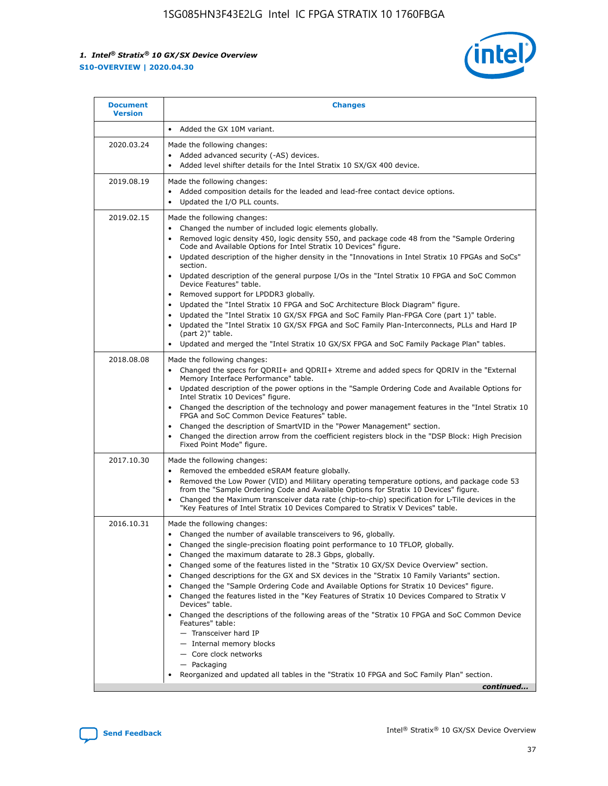

| <b>Document</b><br><b>Version</b> | <b>Changes</b>                                                                                                                                                                                                                                                                                                                                                                                                                                                                                                                                                                                                                                                                                                                                                                                                                                                                                                                                                                               |
|-----------------------------------|----------------------------------------------------------------------------------------------------------------------------------------------------------------------------------------------------------------------------------------------------------------------------------------------------------------------------------------------------------------------------------------------------------------------------------------------------------------------------------------------------------------------------------------------------------------------------------------------------------------------------------------------------------------------------------------------------------------------------------------------------------------------------------------------------------------------------------------------------------------------------------------------------------------------------------------------------------------------------------------------|
|                                   | Added the GX 10M variant.                                                                                                                                                                                                                                                                                                                                                                                                                                                                                                                                                                                                                                                                                                                                                                                                                                                                                                                                                                    |
| 2020.03.24                        | Made the following changes:<br>Added advanced security (-AS) devices.<br>Added level shifter details for the Intel Stratix 10 SX/GX 400 device.                                                                                                                                                                                                                                                                                                                                                                                                                                                                                                                                                                                                                                                                                                                                                                                                                                              |
| 2019.08.19                        | Made the following changes:<br>Added composition details for the leaded and lead-free contact device options.<br>Updated the I/O PLL counts.                                                                                                                                                                                                                                                                                                                                                                                                                                                                                                                                                                                                                                                                                                                                                                                                                                                 |
| 2019.02.15                        | Made the following changes:<br>Changed the number of included logic elements globally.<br>Removed logic density 450, logic density 550, and package code 48 from the "Sample Ordering<br>$\bullet$<br>Code and Available Options for Intel Stratix 10 Devices" figure.<br>Updated description of the higher density in the "Innovations in Intel Stratix 10 FPGAs and SoCs"<br>section.<br>Updated description of the general purpose I/Os in the "Intel Stratix 10 FPGA and SoC Common<br>Device Features" table.<br>Removed support for LPDDR3 globally.<br>Updated the "Intel Stratix 10 FPGA and SoC Architecture Block Diagram" figure.<br>Updated the "Intel Stratix 10 GX/SX FPGA and SoC Family Plan-FPGA Core (part 1)" table.<br>$\bullet$<br>Updated the "Intel Stratix 10 GX/SX FPGA and SoC Family Plan-Interconnects, PLLs and Hard IP<br>(part 2)" table.<br>Updated and merged the "Intel Stratix 10 GX/SX FPGA and SoC Family Package Plan" tables.                         |
| 2018.08.08                        | Made the following changes:<br>Changed the specs for QDRII+ and QDRII+ Xtreme and added specs for QDRIV in the "External<br>$\bullet$<br>Memory Interface Performance" table.<br>Updated description of the power options in the "Sample Ordering Code and Available Options for<br>Intel Stratix 10 Devices" figure.<br>Changed the description of the technology and power management features in the "Intel Stratix 10<br>FPGA and SoC Common Device Features" table.<br>Changed the description of SmartVID in the "Power Management" section.<br>Changed the direction arrow from the coefficient registers block in the "DSP Block: High Precision<br>Fixed Point Mode" figure.                                                                                                                                                                                                                                                                                                        |
| 2017.10.30                        | Made the following changes:<br>Removed the embedded eSRAM feature globally.<br>$\bullet$<br>Removed the Low Power (VID) and Military operating temperature options, and package code 53<br>from the "Sample Ordering Code and Available Options for Stratix 10 Devices" figure.<br>Changed the Maximum transceiver data rate (chip-to-chip) specification for L-Tile devices in the<br>"Key Features of Intel Stratix 10 Devices Compared to Stratix V Devices" table.                                                                                                                                                                                                                                                                                                                                                                                                                                                                                                                       |
| 2016.10.31                        | Made the following changes:<br>• Changed the number of available transceivers to 96, globally.<br>Changed the single-precision floating point performance to 10 TFLOP, globally.<br>Changed the maximum datarate to 28.3 Gbps, globally.<br>Changed some of the features listed in the "Stratix 10 GX/SX Device Overview" section.<br>Changed descriptions for the GX and SX devices in the "Stratix 10 Family Variants" section.<br>٠<br>Changed the "Sample Ordering Code and Available Options for Stratix 10 Devices" figure.<br>Changed the features listed in the "Key Features of Stratix 10 Devices Compared to Stratix V<br>$\bullet$<br>Devices" table.<br>Changed the descriptions of the following areas of the "Stratix 10 FPGA and SoC Common Device<br>Features" table:<br>- Transceiver hard IP<br>- Internal memory blocks<br>- Core clock networks<br>- Packaging<br>Reorganized and updated all tables in the "Stratix 10 FPGA and SoC Family Plan" section.<br>continued |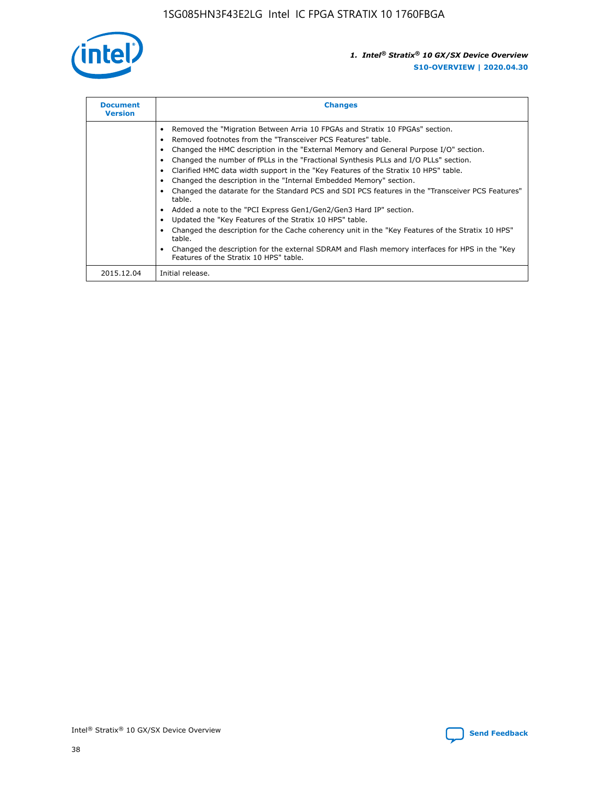

| <b>Document</b><br><b>Version</b> | <b>Changes</b>                                                                                                                                                                                                                                                                                                                                                                                                                                                                                                                                                                                                                                                                                                                                                                                                                                                                                                                                                                                     |
|-----------------------------------|----------------------------------------------------------------------------------------------------------------------------------------------------------------------------------------------------------------------------------------------------------------------------------------------------------------------------------------------------------------------------------------------------------------------------------------------------------------------------------------------------------------------------------------------------------------------------------------------------------------------------------------------------------------------------------------------------------------------------------------------------------------------------------------------------------------------------------------------------------------------------------------------------------------------------------------------------------------------------------------------------|
|                                   | Removed the "Migration Between Arria 10 FPGAs and Stratix 10 FPGAs" section.<br>Removed footnotes from the "Transceiver PCS Features" table.<br>Changed the HMC description in the "External Memory and General Purpose I/O" section.<br>Changed the number of fPLLs in the "Fractional Synthesis PLLs and I/O PLLs" section.<br>Clarified HMC data width support in the "Key Features of the Stratix 10 HPS" table.<br>Changed the description in the "Internal Embedded Memory" section.<br>Changed the datarate for the Standard PCS and SDI PCS features in the "Transceiver PCS Features"<br>table.<br>Added a note to the "PCI Express Gen1/Gen2/Gen3 Hard IP" section.<br>Updated the "Key Features of the Stratix 10 HPS" table.<br>Changed the description for the Cache coherency unit in the "Key Features of the Stratix 10 HPS"<br>table.<br>Changed the description for the external SDRAM and Flash memory interfaces for HPS in the "Key<br>Features of the Stratix 10 HPS" table. |
| 2015.12.04                        | Initial release.                                                                                                                                                                                                                                                                                                                                                                                                                                                                                                                                                                                                                                                                                                                                                                                                                                                                                                                                                                                   |